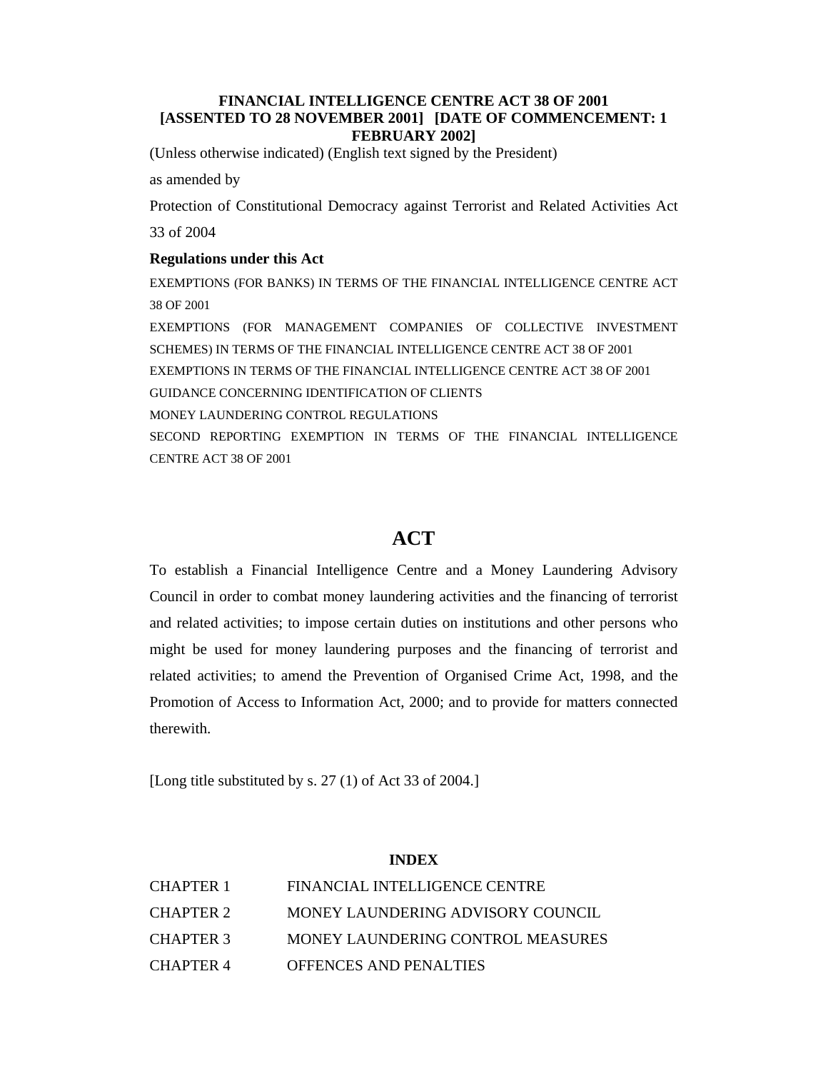# **FINANCIAL INTELLIGENCE CENTRE ACT 38 OF 2001 [ASSENTED TO 28 NOVEMBER 2001] [DATE OF COMMENCEMENT: 1 FEBRUARY 2002]**

(Unless otherwise indicated) (English text signed by the President)

as amended by

Protection of Constitutional Democracy against Terrorist and Related Activities Act 33 of 2004

#### **Regulations under this Act**

EXEMPTIONS (FOR BANKS) IN TERMS OF THE FINANCIAL INTELLIGENCE CENTRE ACT 38 OF 2001

EXEMPTIONS (FOR MANAGEMENT COMPANIES OF COLLECTIVE INVESTMENT SCHEMES) IN TERMS OF THE FINANCIAL INTELLIGENCE CENTRE ACT 38 OF 2001 EXEMPTIONS IN TERMS OF THE FINANCIAL INTELLIGENCE CENTRE ACT 38 OF 2001 GUIDANCE CONCERNING IDENTIFICATION OF CLIENTS MONEY LAUNDERING CONTROL REGULATIONS SECOND REPORTING EXEMPTION IN TERMS OF THE FINANCIAL INTELLIGENCE CENTRE ACT 38 OF 2001

# **ACT**

To establish a Financial Intelligence Centre and a Money Laundering Advisory Council in order to combat money laundering activities and the financing of terrorist and related activities; to impose certain duties on institutions and other persons who might be used for money laundering purposes and the financing of terrorist and related activities; to amend the Prevention of Organised Crime Act, 1998, and the Promotion of Access to Information Act, 2000; and to provide for matters connected therewith.

[Long title substituted by s. 27 (1) of Act 33 of 2004.]

### **INDEX**

| CHAPTER 1        | FINANCIAL INTELLIGENCE CENTRE     |
|------------------|-----------------------------------|
| CHAPTER 2        | MONEY LAUNDERING ADVISORY COUNCIL |
| <b>CHAPTER 3</b> | MONEY LAUNDERING CONTROL MEASURES |
| CHAPTER 4        | <b>OFFENCES AND PENALTIES</b>     |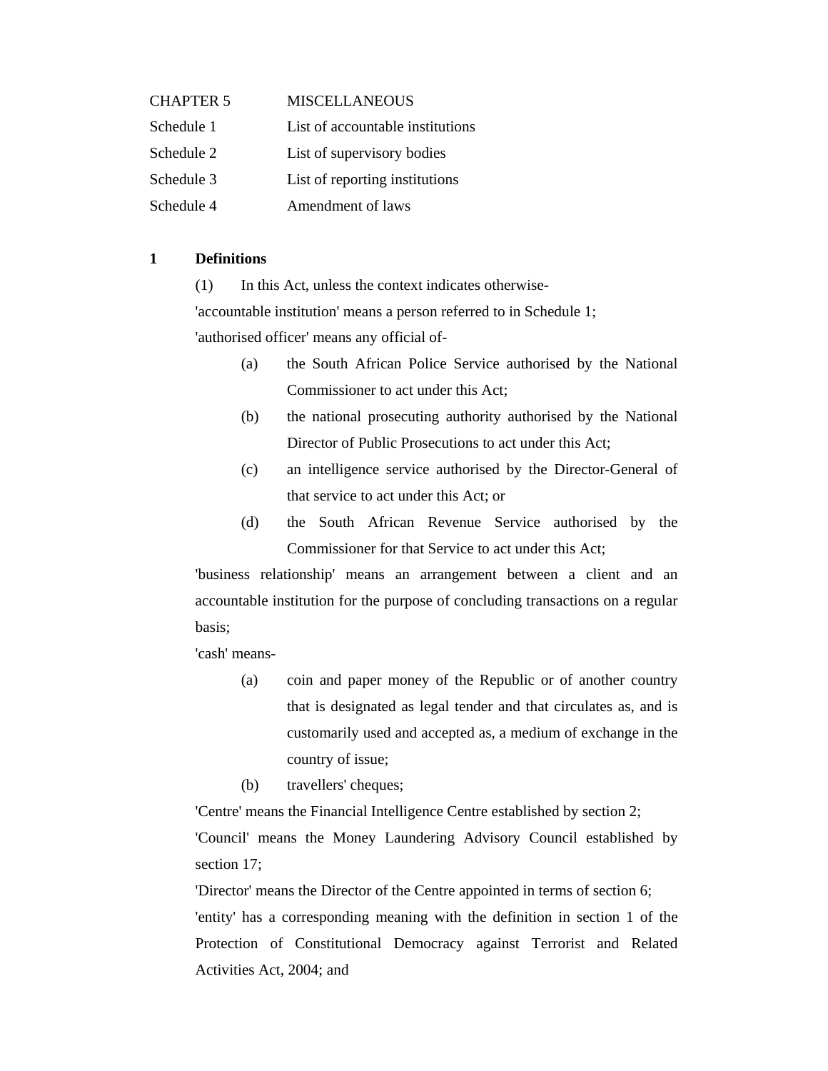| <b>CHAPTER 5</b> | <b>MISCELLANEOUS</b>             |
|------------------|----------------------------------|
| Schedule 1       | List of accountable institutions |
| Schedule 2       | List of supervisory bodies       |
| Schedule 3       | List of reporting institutions   |
| Schedule 4       | Amendment of laws                |

# **1 Definitions**

(1) In this Act, unless the context indicates otherwise-

'accountable institution' means a person referred to in Schedule 1;

'authorised officer' means any official of-

- (a) the South African Police Service authorised by the National Commissioner to act under this Act;
- (b) the national prosecuting authority authorised by the National Director of Public Prosecutions to act under this Act;
- (c) an intelligence service authorised by the Director-General of that service to act under this Act; or
- (d) the South African Revenue Service authorised by the Commissioner for that Service to act under this Act;

'business relationship' means an arrangement between a client and an accountable institution for the purpose of concluding transactions on a regular basis;

'cash' means-

- (a) coin and paper money of the Republic or of another country that is designated as legal tender and that circulates as, and is customarily used and accepted as, a medium of exchange in the country of issue;
- (b) travellers' cheques;

 'Centre' means the Financial Intelligence Centre established by section 2; 'Council' means the Money Laundering Advisory Council established by section 17;

 'Director' means the Director of the Centre appointed in terms of section 6; 'entity' has a corresponding meaning with the definition in section 1 of the Protection of Constitutional Democracy against Terrorist and Related Activities Act, 2004; and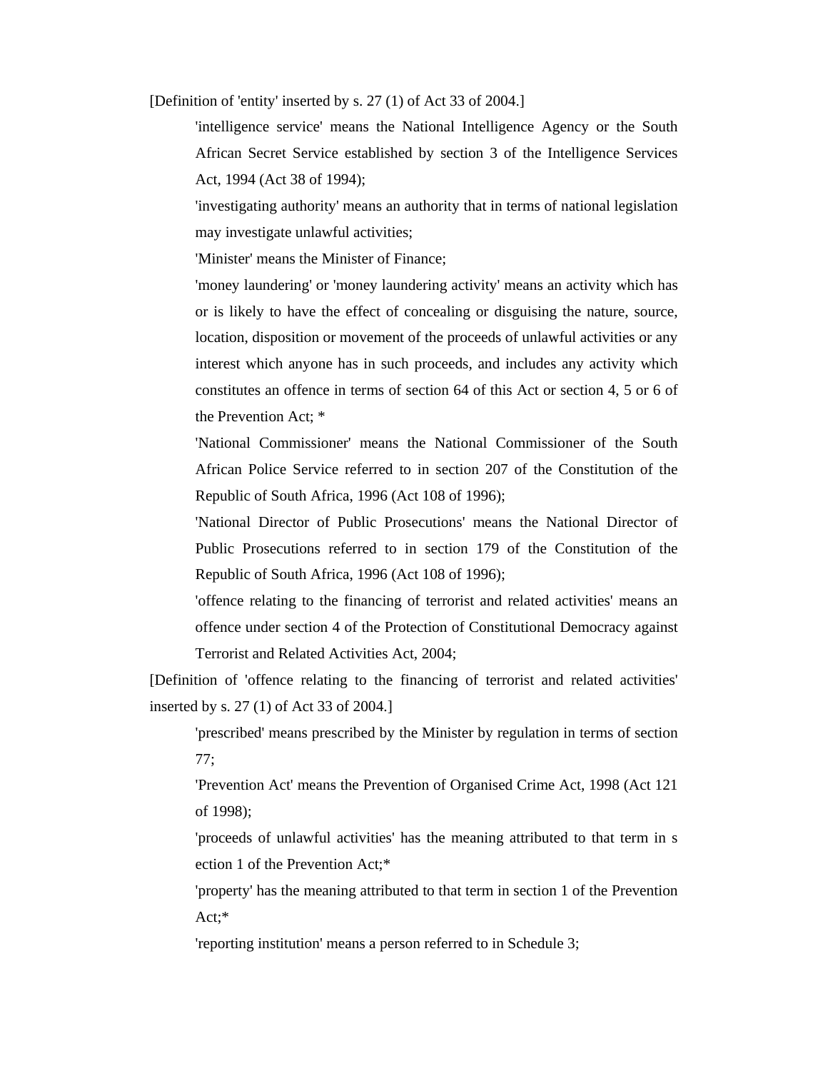[Definition of 'entity' inserted by s. 27 (1) of Act 33 of 2004.]

'intelligence service' means the National Intelligence Agency or the South African Secret Service established by section 3 of the Intelligence Services Act, 1994 (Act 38 of 1994);

'investigating authority' means an authority that in terms of national legislation may investigate unlawful activities;

'Minister' means the Minister of Finance;

'money laundering' or 'money laundering activity' means an activity which has or is likely to have the effect of concealing or disguising the nature, source, location, disposition or movement of the proceeds of unlawful activities or any interest which anyone has in such proceeds, and includes any activity which constitutes an offence in terms of section 64 of this Act or section 4, 5 or 6 of the Prevention Act; \*

'National Commissioner' means the National Commissioner of the South African Police Service referred to in section 207 of the Constitution of the Republic of South Africa, 1996 (Act 108 of 1996);

'National Director of Public Prosecutions' means the National Director of Public Prosecutions referred to in section 179 of the Constitution of the Republic of South Africa, 1996 (Act 108 of 1996);

'offence relating to the financing of terrorist and related activities' means an offence under section 4 of the Protection of Constitutional Democracy against Terrorist and Related Activities Act, 2004;

[Definition of 'offence relating to the financing of terrorist and related activities' inserted by s. 27 (1) of Act 33 of 2004.]

'prescribed' means prescribed by the Minister by regulation in terms of section 77;

'Prevention Act' means the Prevention of Organised Crime Act, 1998 (Act 121 of 1998);

 'proceeds of unlawful activities' has the meaning attributed to that term in s ection 1 of the Prevention Act;\*

'property' has the meaning attributed to that term in section 1 of the Prevention Act;\*

'reporting institution' means a person referred to in Schedule 3;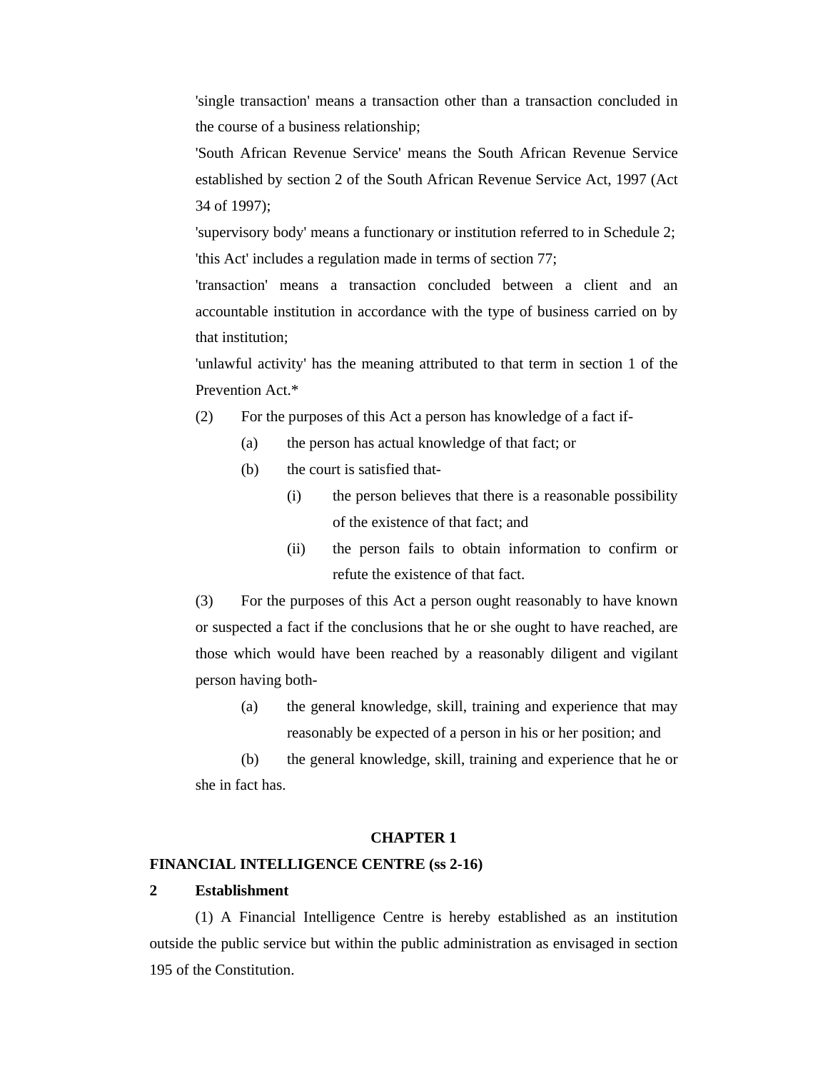'single transaction' means a transaction other than a transaction concluded in the course of a business relationship;

'South African Revenue Service' means the South African Revenue Service established by section 2 of the South African Revenue Service Act, 1997 (Act 34 of 1997);

 'supervisory body' means a functionary or institution referred to in Schedule 2; 'this Act' includes a regulation made in terms of section 77;

'transaction' means a transaction concluded between a client and an accountable institution in accordance with the type of business carried on by that institution;

'unlawful activity' has the meaning attributed to that term in section 1 of the Prevention Act.\*

- (2) For the purposes of this Act a person has knowledge of a fact if-
	- (a) the person has actual knowledge of that fact; or
	- (b) the court is satisfied that-
		- (i) the person believes that there is a reasonable possibility of the existence of that fact; and
		- (ii) the person fails to obtain information to confirm or refute the existence of that fact.

(3) For the purposes of this Act a person ought reasonably to have known or suspected a fact if the conclusions that he or she ought to have reached, are those which would have been reached by a reasonably diligent and vigilant person having both-

(a) the general knowledge, skill, training and experience that may reasonably be expected of a person in his or her position; and

(b) the general knowledge, skill, training and experience that he or she in fact has.

#### **CHAPTER 1**

#### **FINANCIAL INTELLIGENCE CENTRE (ss 2-16)**

#### **2 Establishment**

 (1) A Financial Intelligence Centre is hereby established as an institution outside the public service but within the public administration as envisaged in section 195 of the Constitution.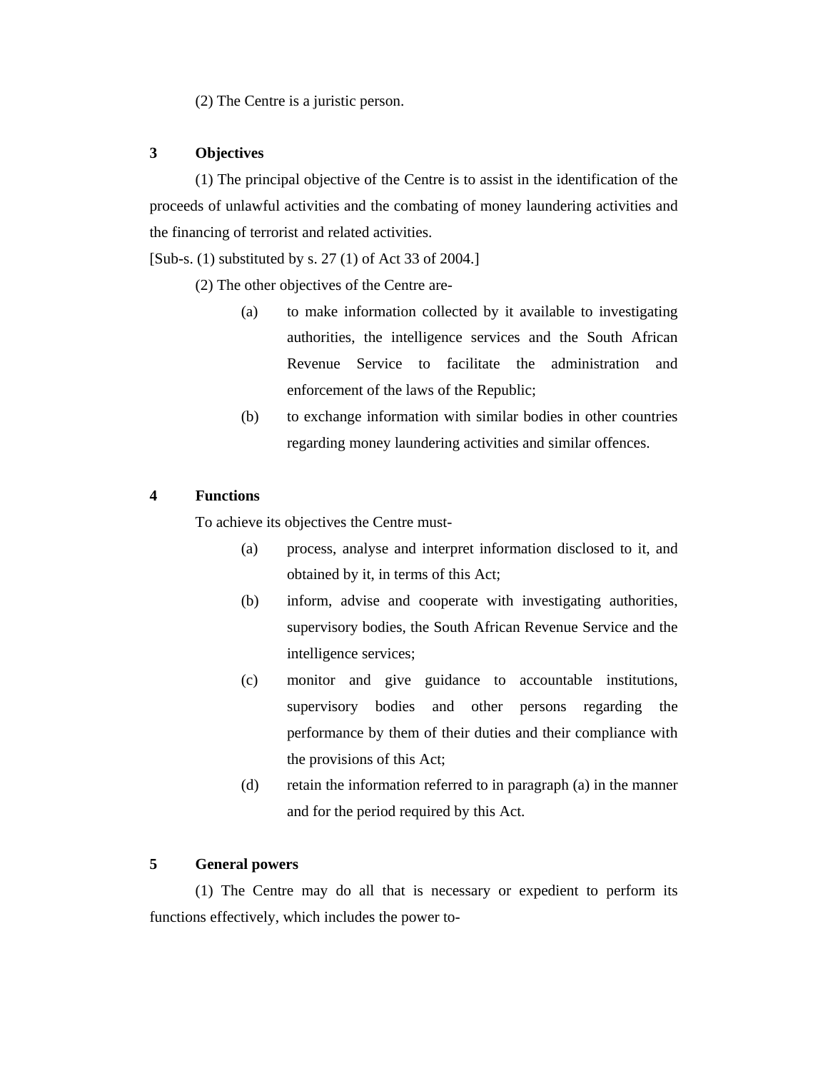(2) The Centre is a juristic person.

# **3 Objectives**

 (1) The principal objective of the Centre is to assist in the identification of the proceeds of unlawful activities and the combating of money laundering activities and the financing of terrorist and related activities.

[Sub-s. (1) substituted by s. 27 (1) of Act 33 of 2004.]

(2) The other objectives of the Centre are-

- (a) to make information collected by it available to investigating authorities, the intelligence services and the South African Revenue Service to facilitate the administration and enforcement of the laws of the Republic;
- (b) to exchange information with similar bodies in other countries regarding money laundering activities and similar offences.

#### **4 Functions**

To achieve its objectives the Centre must-

- (a) process, analyse and interpret information disclosed to it, and obtained by it, in terms of this Act;
- (b) inform, advise and cooperate with investigating authorities, supervisory bodies, the South African Revenue Service and the intelligence services;
- (c) monitor and give guidance to accountable institutions, supervisory bodies and other persons regarding the performance by them of their duties and their compliance with the provisions of this Act;
- (d) retain the information referred to in paragraph (a) in the manner and for the period required by this Act.

### **5 General powers**

 (1) The Centre may do all that is necessary or expedient to perform its functions effectively, which includes the power to-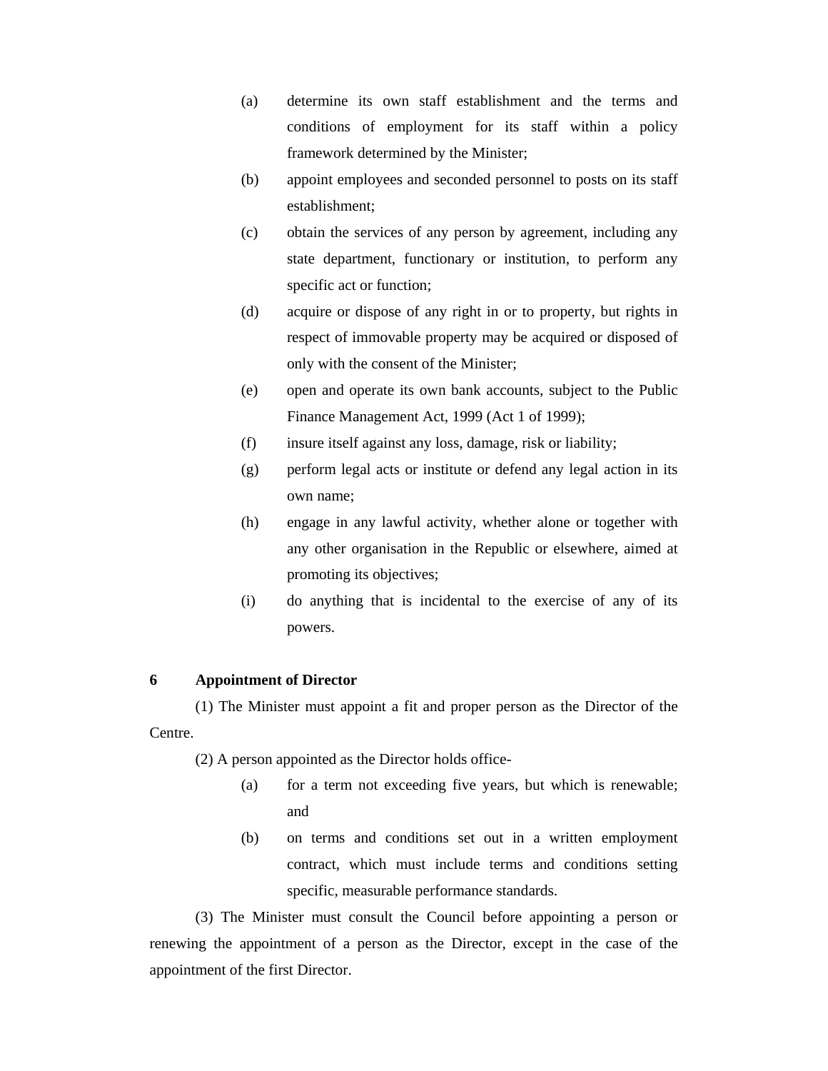- (a) determine its own staff establishment and the terms and conditions of employment for its staff within a policy framework determined by the Minister;
- (b) appoint employees and seconded personnel to posts on its staff establishment;
- (c) obtain the services of any person by agreement, including any state department, functionary or institution, to perform any specific act or function;
- (d) acquire or dispose of any right in or to property, but rights in respect of immovable property may be acquired or disposed of only with the consent of the Minister;
- (e) open and operate its own bank accounts, subject to the Public Finance Management Act, 1999 (Act 1 of 1999);
- (f) insure itself against any loss, damage, risk or liability;
- (g) perform legal acts or institute or defend any legal action in its own name;
- (h) engage in any lawful activity, whether alone or together with any other organisation in the Republic or elsewhere, aimed at promoting its objectives;
- (i) do anything that is incidental to the exercise of any of its powers.

# **6 Appointment of Director**

 (1) The Minister must appoint a fit and proper person as the Director of the Centre.

(2) A person appointed as the Director holds office-

- (a) for a term not exceeding five years, but which is renewable; and
- (b) on terms and conditions set out in a written employment contract, which must include terms and conditions setting specific, measurable performance standards.

 (3) The Minister must consult the Council before appointing a person or renewing the appointment of a person as the Director, except in the case of the appointment of the first Director.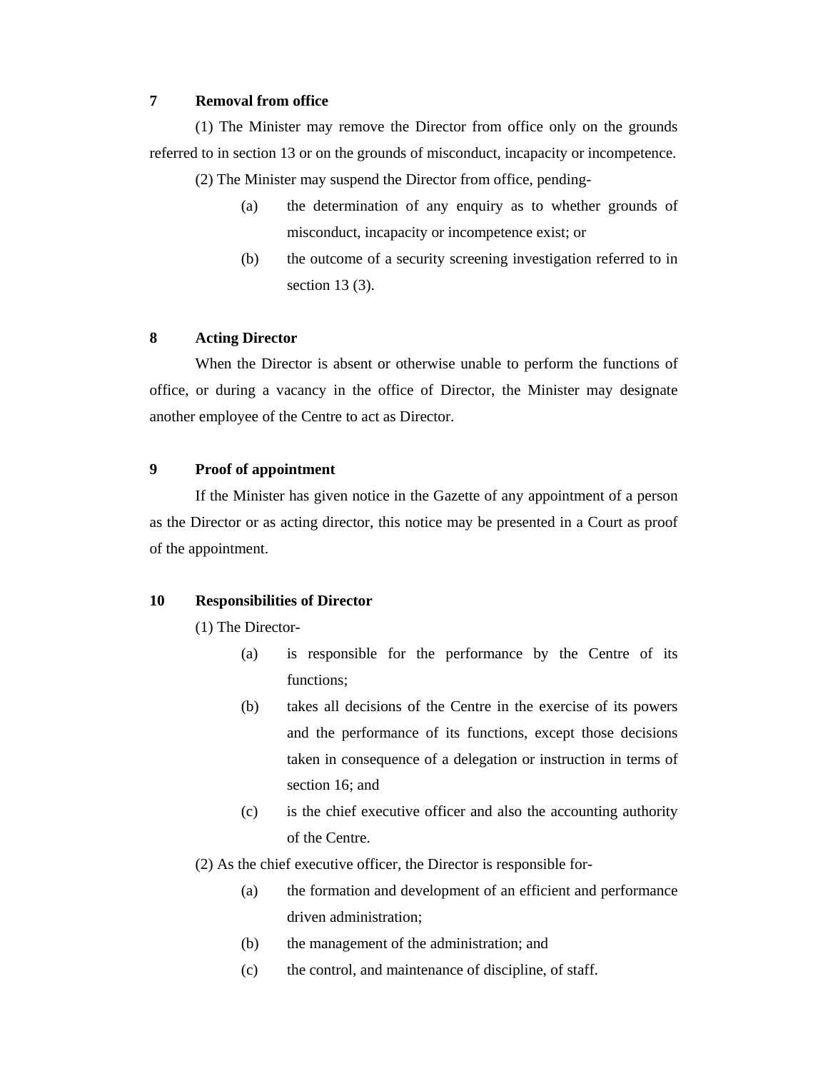# **7 Removal from office**

 (1) The Minister may remove the Director from office only on the grounds referred to in section 13 or on the grounds of misconduct, incapacity or incompetence.

(2) The Minister may suspend the Director from office, pending-

- (a) the determination of any enquiry as to whether grounds of misconduct, incapacity or incompetence exist; or
- (b) the outcome of a security screening investigation referred to in section 13 (3).

# **8 Acting Director**

 When the Director is absent or otherwise unable to perform the functions of office, or during a vacancy in the office of Director, the Minister may designate another employee of the Centre to act as Director.

# **9 Proof of appointment**

 If the Minister has given notice in the Gazette of any appointment of a person as the Director or as acting director, this notice may be presented in a Court as proof of the appointment.

## **10 Responsibilities of Director**

(1) The Director-

- (a) is responsible for the performance by the Centre of its functions;
- (b) takes all decisions of the Centre in the exercise of its powers and the performance of its functions, except those decisions taken in consequence of a delegation or instruction in terms of section 16; and
- (c) is the chief executive officer and also the accounting authority of the Centre.
- (2) As the chief executive officer, the Director is responsible for-
	- (a) the formation and development of an efficient and performance driven administration;
	- (b) the management of the administration; and
	- (c) the control, and maintenance of discipline, of staff.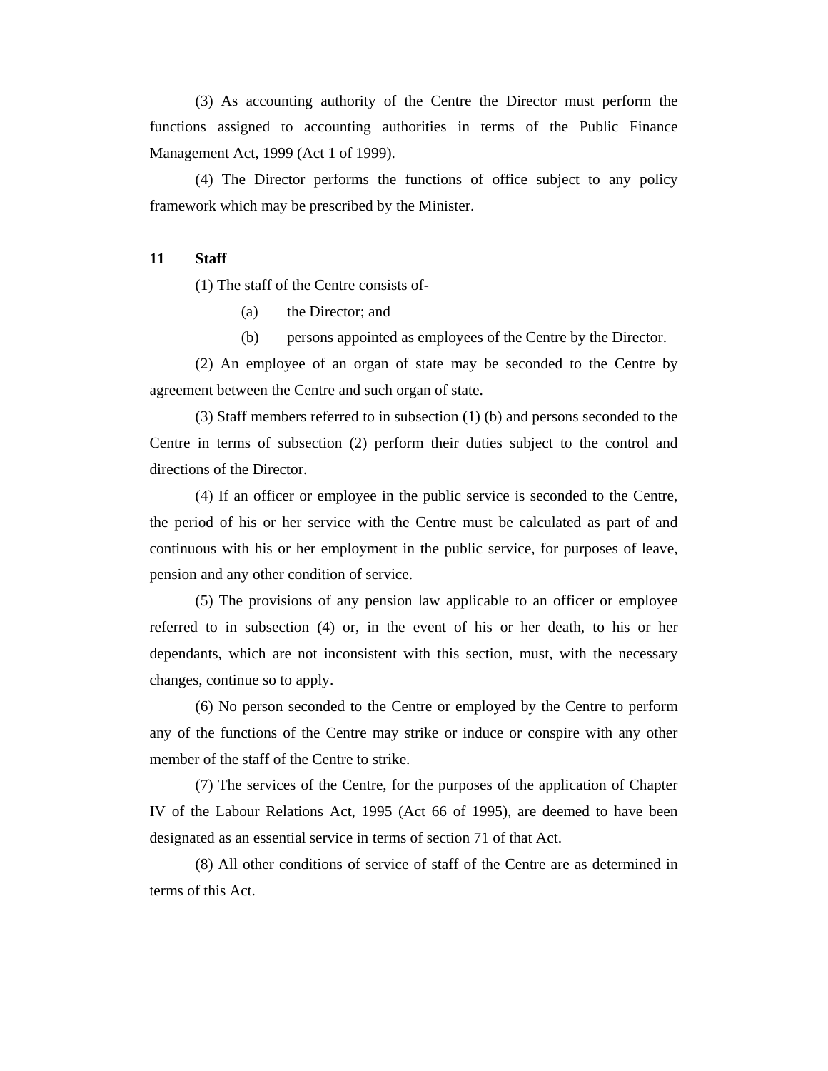(3) As accounting authority of the Centre the Director must perform the functions assigned to accounting authorities in terms of the Public Finance Management Act, 1999 (Act 1 of 1999).

 (4) The Director performs the functions of office subject to any policy framework which may be prescribed by the Minister.

#### **11 Staff**

(1) The staff of the Centre consists of-

- (a) the Director; and
- (b) persons appointed as employees of the Centre by the Director.

 (2) An employee of an organ of state may be seconded to the Centre by agreement between the Centre and such organ of state.

 (3) Staff members referred to in subsection (1) (b) and persons seconded to the Centre in terms of subsection (2) perform their duties subject to the control and directions of the Director.

 (4) If an officer or employee in the public service is seconded to the Centre, the period of his or her service with the Centre must be calculated as part of and continuous with his or her employment in the public service, for purposes of leave, pension and any other condition of service.

 (5) The provisions of any pension law applicable to an officer or employee referred to in subsection (4) or, in the event of his or her death, to his or her dependants, which are not inconsistent with this section, must, with the necessary changes, continue so to apply.

 (6) No person seconded to the Centre or employed by the Centre to perform any of the functions of the Centre may strike or induce or conspire with any other member of the staff of the Centre to strike.

 (7) The services of the Centre, for the purposes of the application of Chapter IV of the Labour Relations Act, 1995 (Act 66 of 1995), are deemed to have been designated as an essential service in terms of section 71 of that Act.

 (8) All other conditions of service of staff of the Centre are as determined in terms of this Act.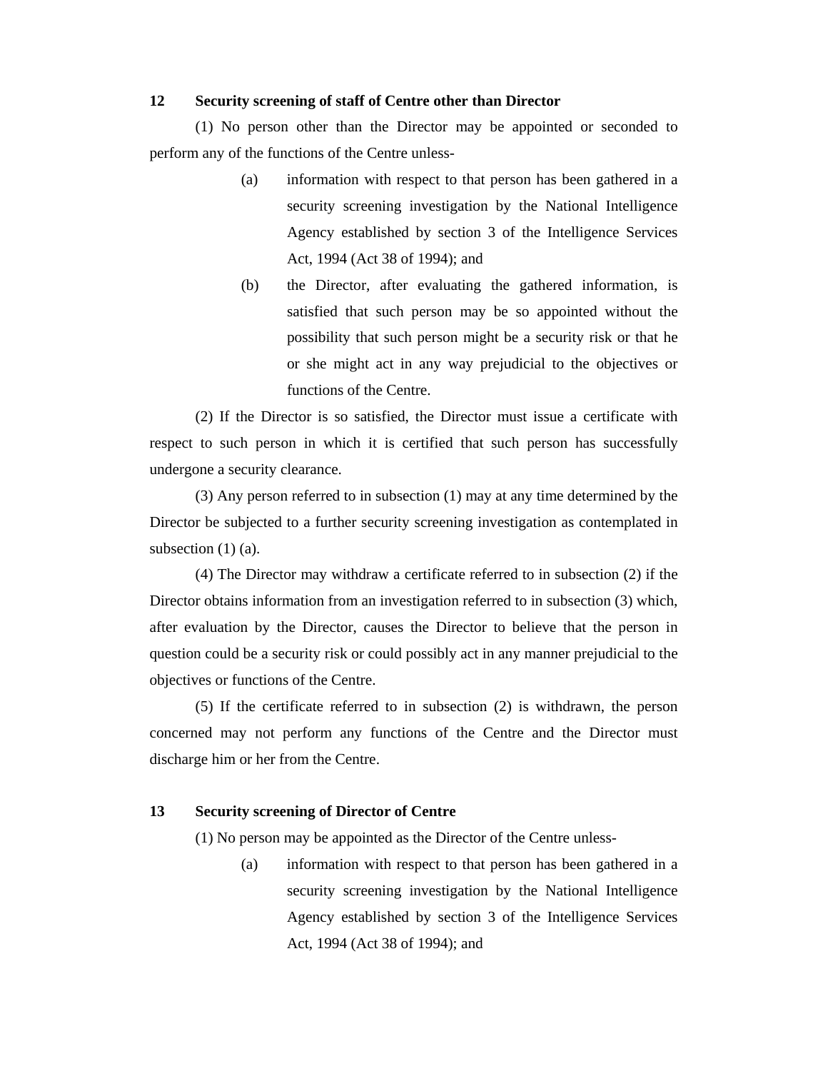#### **12 Security screening of staff of Centre other than Director**

 (1) No person other than the Director may be appointed or seconded to perform any of the functions of the Centre unless-

- (a) information with respect to that person has been gathered in a security screening investigation by the National Intelligence Agency established by section 3 of the Intelligence Services Act, 1994 (Act 38 of 1994); and
- (b) the Director, after evaluating the gathered information, is satisfied that such person may be so appointed without the possibility that such person might be a security risk or that he or she might act in any way prejudicial to the objectives or functions of the Centre.

 (2) If the Director is so satisfied, the Director must issue a certificate with respect to such person in which it is certified that such person has successfully undergone a security clearance.

 (3) Any person referred to in subsection (1) may at any time determined by the Director be subjected to a further security screening investigation as contemplated in subsection  $(1)$  (a).

 (4) The Director may withdraw a certificate referred to in subsection (2) if the Director obtains information from an investigation referred to in subsection (3) which, after evaluation by the Director, causes the Director to believe that the person in question could be a security risk or could possibly act in any manner prejudicial to the objectives or functions of the Centre.

 (5) If the certificate referred to in subsection (2) is withdrawn, the person concerned may not perform any functions of the Centre and the Director must discharge him or her from the Centre.

# **13 Security screening of Director of Centre**

(1) No person may be appointed as the Director of the Centre unless-

(a) information with respect to that person has been gathered in a security screening investigation by the National Intelligence Agency established by section 3 of the Intelligence Services Act, 1994 (Act 38 of 1994); and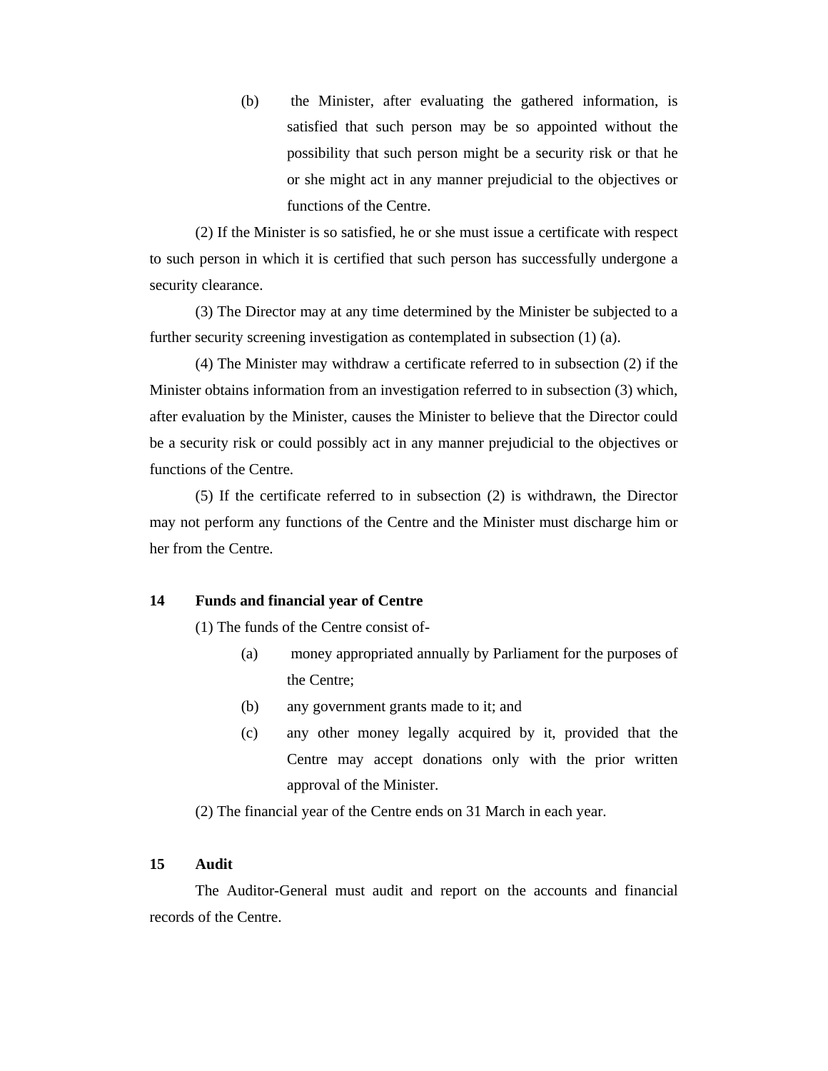(b) the Minister, after evaluating the gathered information, is satisfied that such person may be so appointed without the possibility that such person might be a security risk or that he or she might act in any manner prejudicial to the objectives or functions of the Centre.

 (2) If the Minister is so satisfied, he or she must issue a certificate with respect to such person in which it is certified that such person has successfully undergone a security clearance.

 (3) The Director may at any time determined by the Minister be subjected to a further security screening investigation as contemplated in subsection (1) (a).

 (4) The Minister may withdraw a certificate referred to in subsection (2) if the Minister obtains information from an investigation referred to in subsection (3) which, after evaluation by the Minister, causes the Minister to believe that the Director could be a security risk or could possibly act in any manner prejudicial to the objectives or functions of the Centre.

 (5) If the certificate referred to in subsection (2) is withdrawn, the Director may not perform any functions of the Centre and the Minister must discharge him or her from the Centre.

## **14 Funds and financial year of Centre**

(1) The funds of the Centre consist of-

- (a) money appropriated annually by Parliament for the purposes of the Centre;
- (b) any government grants made to it; and
- (c) any other money legally acquired by it, provided that the Centre may accept donations only with the prior written approval of the Minister.

(2) The financial year of the Centre ends on 31 March in each year.

#### **15 Audit**

 The Auditor-General must audit and report on the accounts and financial records of the Centre.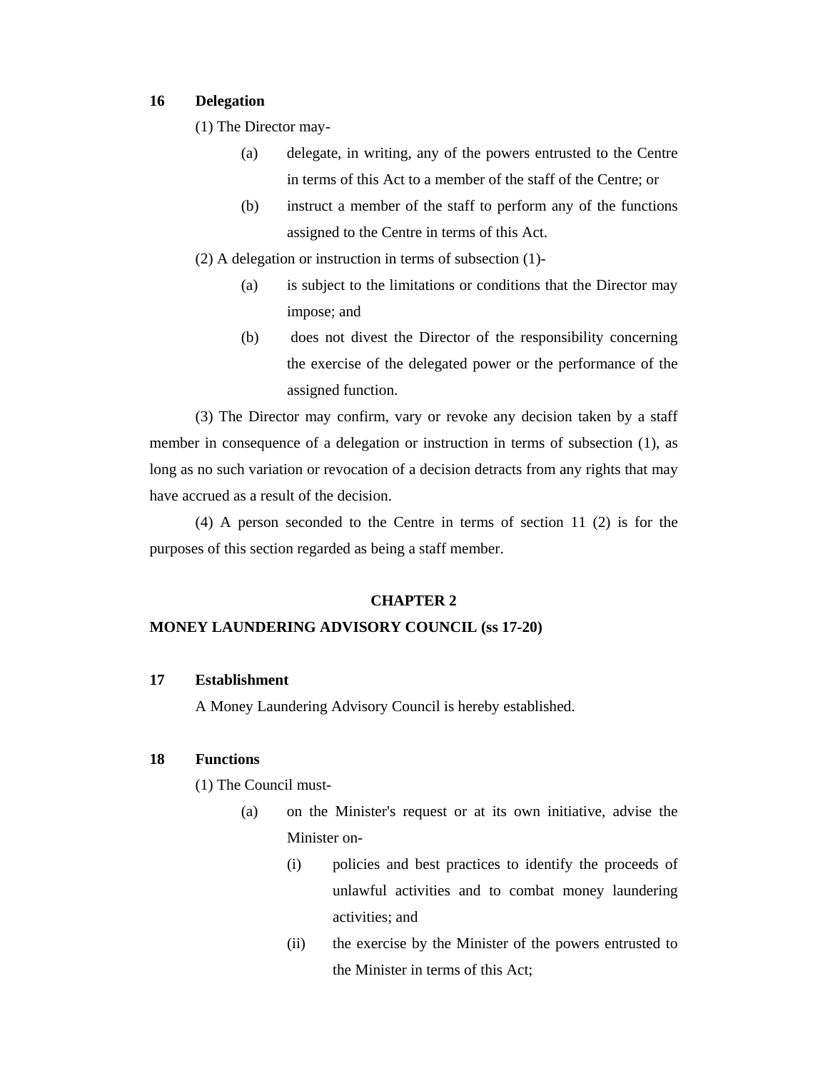### **16 Delegation**

(1) The Director may-

- (a) delegate, in writing, any of the powers entrusted to the Centre in terms of this Act to a member of the staff of the Centre; or
- (b) instruct a member of the staff to perform any of the functions assigned to the Centre in terms of this Act.
- (2) A delegation or instruction in terms of subsection (1)-
	- (a) is subject to the limitations or conditions that the Director may impose; and
	- (b) does not divest the Director of the responsibility concerning the exercise of the delegated power or the performance of the assigned function.

 (3) The Director may confirm, vary or revoke any decision taken by a staff member in consequence of a delegation or instruction in terms of subsection (1), as long as no such variation or revocation of a decision detracts from any rights that may have accrued as a result of the decision.

 (4) A person seconded to the Centre in terms of section 11 (2) is for the purposes of this section regarded as being a staff member.

#### **CHAPTER 2**

### **MONEY LAUNDERING ADVISORY COUNCIL (ss 17-20)**

#### **17 Establishment**

A Money Laundering Advisory Council is hereby established.

# **18 Functions**

(1) The Council must-

- (a) on the Minister's request or at its own initiative, advise the Minister on-
	- (i) policies and best practices to identify the proceeds of unlawful activities and to combat money laundering activities; and
	- (ii) the exercise by the Minister of the powers entrusted to the Minister in terms of this Act;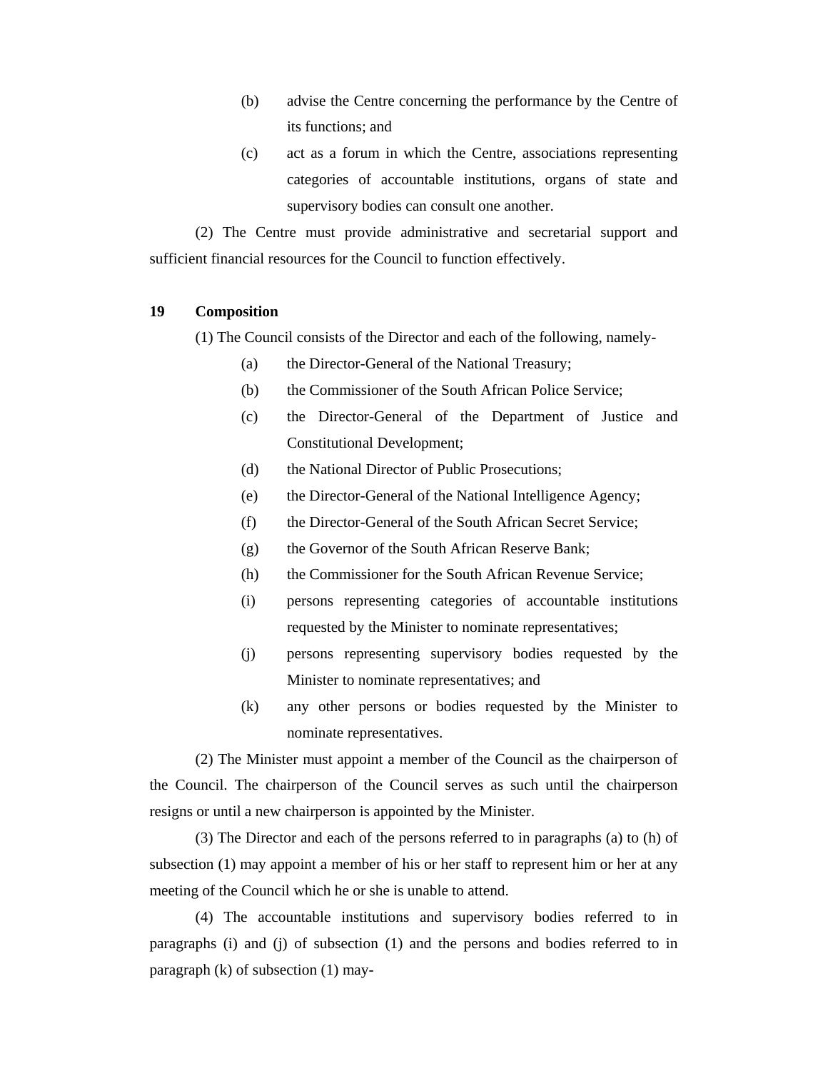- (b) advise the Centre concerning the performance by the Centre of its functions; and
- (c) act as a forum in which the Centre, associations representing categories of accountable institutions, organs of state and supervisory bodies can consult one another.

 (2) The Centre must provide administrative and secretarial support and sufficient financial resources for the Council to function effectively.

### **19 Composition**

(1) The Council consists of the Director and each of the following, namely-

- (a) the Director-General of the National Treasury;
- (b) the Commissioner of the South African Police Service;
- (c) the Director-General of the Department of Justice and Constitutional Development;
- (d) the National Director of Public Prosecutions;
- (e) the Director-General of the National Intelligence Agency;
- (f) the Director-General of the South African Secret Service;
- (g) the Governor of the South African Reserve Bank;
- (h) the Commissioner for the South African Revenue Service;
- (i) persons representing categories of accountable institutions requested by the Minister to nominate representatives;
- (j) persons representing supervisory bodies requested by the Minister to nominate representatives; and
- (k) any other persons or bodies requested by the Minister to nominate representatives.

 (2) The Minister must appoint a member of the Council as the chairperson of the Council. The chairperson of the Council serves as such until the chairperson resigns or until a new chairperson is appointed by the Minister.

 (3) The Director and each of the persons referred to in paragraphs (a) to (h) of subsection (1) may appoint a member of his or her staff to represent him or her at any meeting of the Council which he or she is unable to attend.

 (4) The accountable institutions and supervisory bodies referred to in paragraphs (i) and (j) of subsection (1) and the persons and bodies referred to in paragraph (k) of subsection (1) may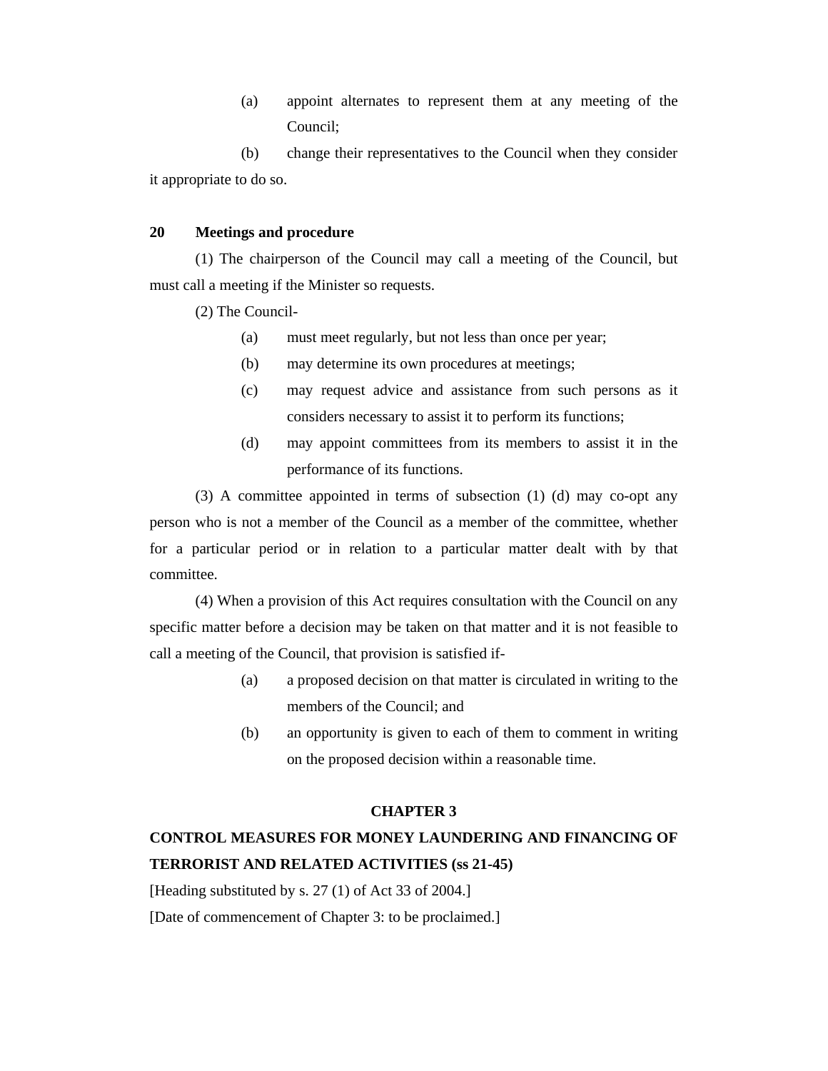(a) appoint alternates to represent them at any meeting of the Council;

 (b) change their representatives to the Council when they consider it appropriate to do so.

### **20 Meetings and procedure**

 (1) The chairperson of the Council may call a meeting of the Council, but must call a meeting if the Minister so requests.

(2) The Council-

- (a) must meet regularly, but not less than once per year;
- (b) may determine its own procedures at meetings;
- (c) may request advice and assistance from such persons as it considers necessary to assist it to perform its functions;
- (d) may appoint committees from its members to assist it in the performance of its functions.

 (3) A committee appointed in terms of subsection (1) (d) may co-opt any person who is not a member of the Council as a member of the committee, whether for a particular period or in relation to a particular matter dealt with by that committee.

 (4) When a provision of this Act requires consultation with the Council on any specific matter before a decision may be taken on that matter and it is not feasible to call a meeting of the Council, that provision is satisfied if-

- (a) a proposed decision on that matter is circulated in writing to the members of the Council; and
- (b) an opportunity is given to each of them to comment in writing on the proposed decision within a reasonable time.

# **CHAPTER 3**

# **CONTROL MEASURES FOR MONEY LAUNDERING AND FINANCING OF TERRORIST AND RELATED ACTIVITIES (ss 21-45)**

[Heading substituted by s. 27 (1) of Act 33 of 2004.]

[Date of commencement of Chapter 3: to be proclaimed.]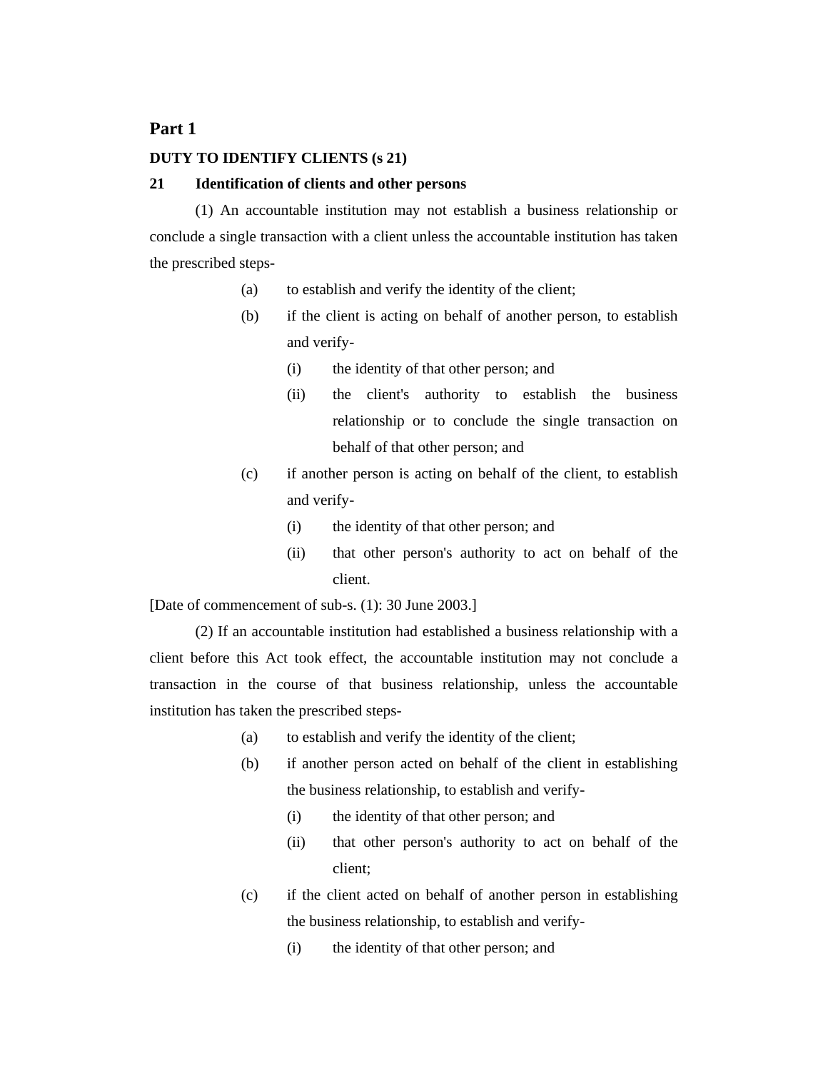# **Part 1**

### **DUTY TO IDENTIFY CLIENTS (s 21)**

#### **21 Identification of clients and other persons**

 (1) An accountable institution may not establish a business relationship or conclude a single transaction with a client unless the accountable institution has taken the prescribed steps-

- (a) to establish and verify the identity of the client;
- (b) if the client is acting on behalf of another person, to establish and verify-
	- (i) the identity of that other person; and
	- (ii) the client's authority to establish the business relationship or to conclude the single transaction on behalf of that other person; and
- (c) if another person is acting on behalf of the client, to establish and verify-
	- (i) the identity of that other person; and
	- (ii) that other person's authority to act on behalf of the client.

[Date of commencement of sub-s. (1): 30 June 2003.]

 (2) If an accountable institution had established a business relationship with a client before this Act took effect, the accountable institution may not conclude a transaction in the course of that business relationship, unless the accountable institution has taken the prescribed steps-

- (a) to establish and verify the identity of the client;
- (b) if another person acted on behalf of the client in establishing the business relationship, to establish and verify-
	- (i) the identity of that other person; and
	- (ii) that other person's authority to act on behalf of the client;
- (c) if the client acted on behalf of another person in establishing the business relationship, to establish and verify-
	- (i) the identity of that other person; and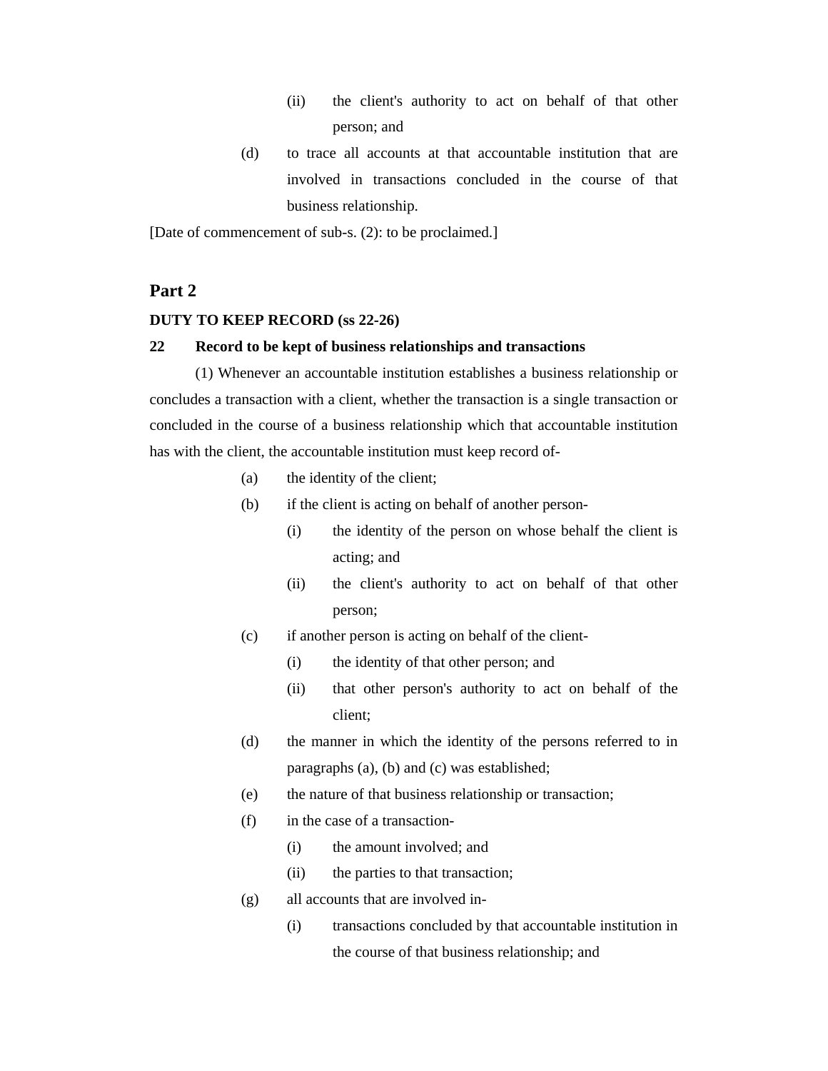- (ii) the client's authority to act on behalf of that other person; and
- (d) to trace all accounts at that accountable institution that are involved in transactions concluded in the course of that business relationship.

[Date of commencement of sub-s. (2): to be proclaimed.]

# **Part 2**

#### **DUTY TO KEEP RECORD (ss 22-26)**

#### **22 Record to be kept of business relationships and transactions**

 (1) Whenever an accountable institution establishes a business relationship or concludes a transaction with a client, whether the transaction is a single transaction or concluded in the course of a business relationship which that accountable institution has with the client, the accountable institution must keep record of-

- (a) the identity of the client;
- (b) if the client is acting on behalf of another person-
	- (i) the identity of the person on whose behalf the client is acting; and
	- (ii) the client's authority to act on behalf of that other person;
- (c) if another person is acting on behalf of the client-
	- (i) the identity of that other person; and
	- (ii) that other person's authority to act on behalf of the client;
- (d) the manner in which the identity of the persons referred to in paragraphs (a), (b) and (c) was established;
- (e) the nature of that business relationship or transaction;
- (f) in the case of a transaction-
	- (i) the amount involved; and
	- (ii) the parties to that transaction;
- (g) all accounts that are involved in-
	- (i) transactions concluded by that accountable institution in the course of that business relationship; and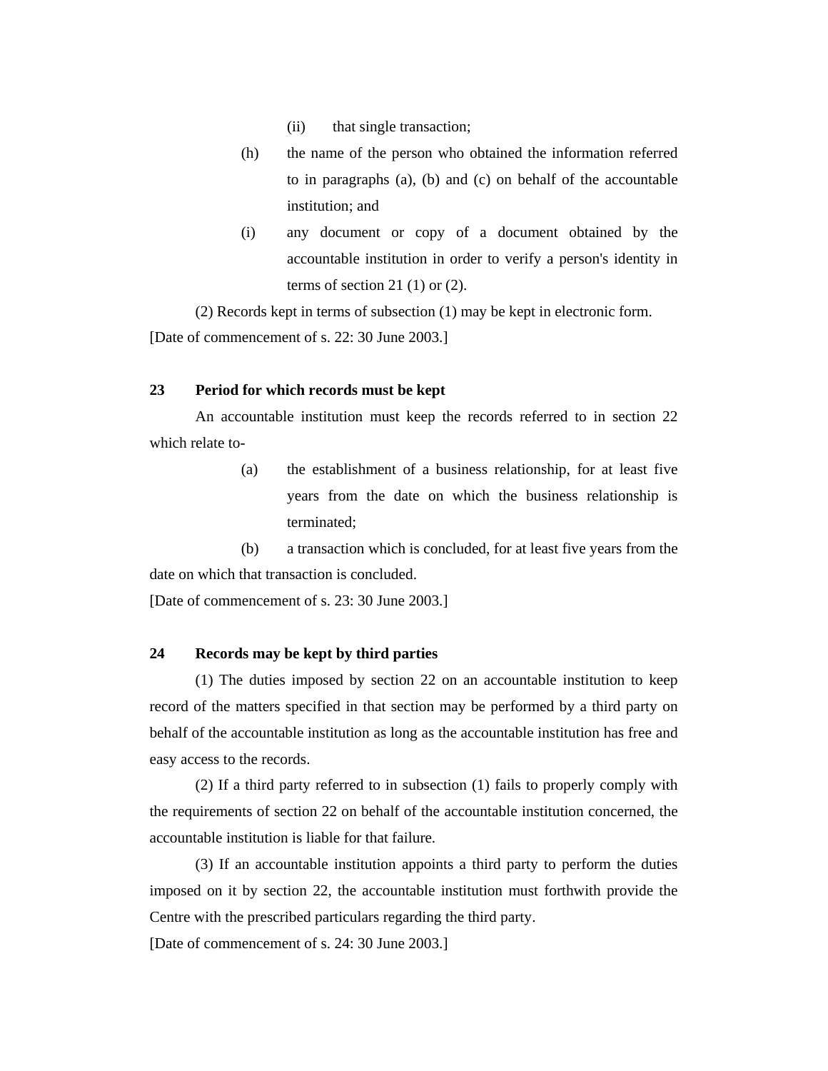- (ii) that single transaction;
- (h) the name of the person who obtained the information referred to in paragraphs (a), (b) and (c) on behalf of the accountable institution; and
- (i) any document or copy of a document obtained by the accountable institution in order to verify a person's identity in terms of section 21 $(1)$  or  $(2)$ .

 (2) Records kept in terms of subsection (1) may be kept in electronic form. [Date of commencement of s. 22: 30 June 2003.]

### **23 Period for which records must be kept**

 An accountable institution must keep the records referred to in section 22 which relate to-

> (a) the establishment of a business relationship, for at least five years from the date on which the business relationship is terminated;

 (b) a transaction which is concluded, for at least five years from the date on which that transaction is concluded.

[Date of commencement of s. 23: 30 June 2003.]

## **24 Records may be kept by third parties**

 (1) The duties imposed by section 22 on an accountable institution to keep record of the matters specified in that section may be performed by a third party on behalf of the accountable institution as long as the accountable institution has free and easy access to the records.

 (2) If a third party referred to in subsection (1) fails to properly comply with the requirements of section 22 on behalf of the accountable institution concerned, the accountable institution is liable for that failure.

 (3) If an accountable institution appoints a third party to perform the duties imposed on it by section 22, the accountable institution must forthwith provide the Centre with the prescribed particulars regarding the third party.

[Date of commencement of s. 24: 30 June 2003.]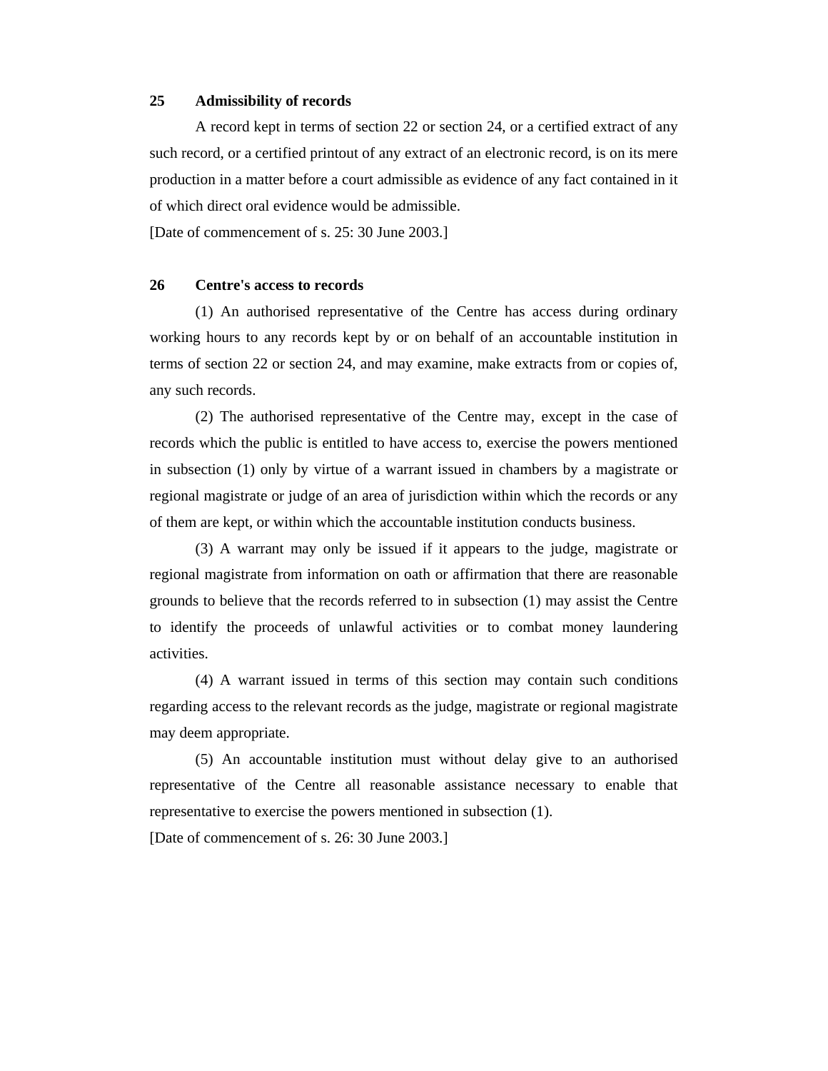#### **25 Admissibility of records**

 A record kept in terms of section 22 or section 24, or a certified extract of any such record, or a certified printout of any extract of an electronic record, is on its mere production in a matter before a court admissible as evidence of any fact contained in it of which direct oral evidence would be admissible.

[Date of commencement of s. 25: 30 June 2003.]

#### **26 Centre's access to records**

 (1) An authorised representative of the Centre has access during ordinary working hours to any records kept by or on behalf of an accountable institution in terms of section 22 or section 24, and may examine, make extracts from or copies of, any such records.

 (2) The authorised representative of the Centre may, except in the case of records which the public is entitled to have access to, exercise the powers mentioned in subsection (1) only by virtue of a warrant issued in chambers by a magistrate or regional magistrate or judge of an area of jurisdiction within which the records or any of them are kept, or within which the accountable institution conducts business.

 (3) A warrant may only be issued if it appears to the judge, magistrate or regional magistrate from information on oath or affirmation that there are reasonable grounds to believe that the records referred to in subsection (1) may assist the Centre to identify the proceeds of unlawful activities or to combat money laundering activities.

 (4) A warrant issued in terms of this section may contain such conditions regarding access to the relevant records as the judge, magistrate or regional magistrate may deem appropriate.

 (5) An accountable institution must without delay give to an authorised representative of the Centre all reasonable assistance necessary to enable that representative to exercise the powers mentioned in subsection (1).

[Date of commencement of s. 26: 30 June 2003.]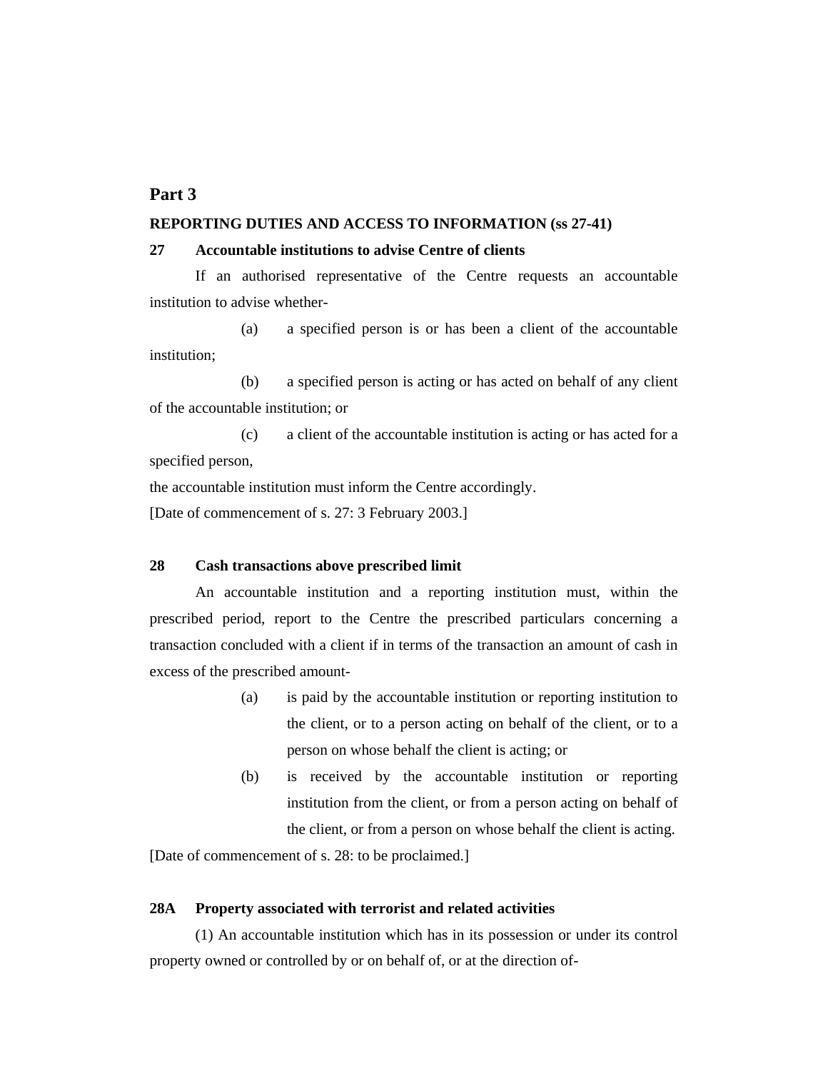# **Part 3**

#### **REPORTING DUTIES AND ACCESS TO INFORMATION (ss 27-41)**

#### **27 Accountable institutions to advise Centre of clients**

 If an authorised representative of the Centre requests an accountable institution to advise whether-

 (a) a specified person is or has been a client of the accountable institution;

 (b) a specified person is acting or has acted on behalf of any client of the accountable institution; or

 (c) a client of the accountable institution is acting or has acted for a specified person,

the accountable institution must inform the Centre accordingly.

[Date of commencement of s. 27: 3 February 2003.]

#### **28 Cash transactions above prescribed limit**

 An accountable institution and a reporting institution must, within the prescribed period, report to the Centre the prescribed particulars concerning a transaction concluded with a client if in terms of the transaction an amount of cash in excess of the prescribed amount-

- (a) is paid by the accountable institution or reporting institution to the client, or to a person acting on behalf of the client, or to a person on whose behalf the client is acting; or
- (b) is received by the accountable institution or reporting institution from the client, or from a person acting on behalf of the client, or from a person on whose behalf the client is acting.

[Date of commencement of s. 28: to be proclaimed.]

### **28A Property associated with terrorist and related activities**

 (1) An accountable institution which has in its possession or under its control property owned or controlled by or on behalf of, or at the direction of-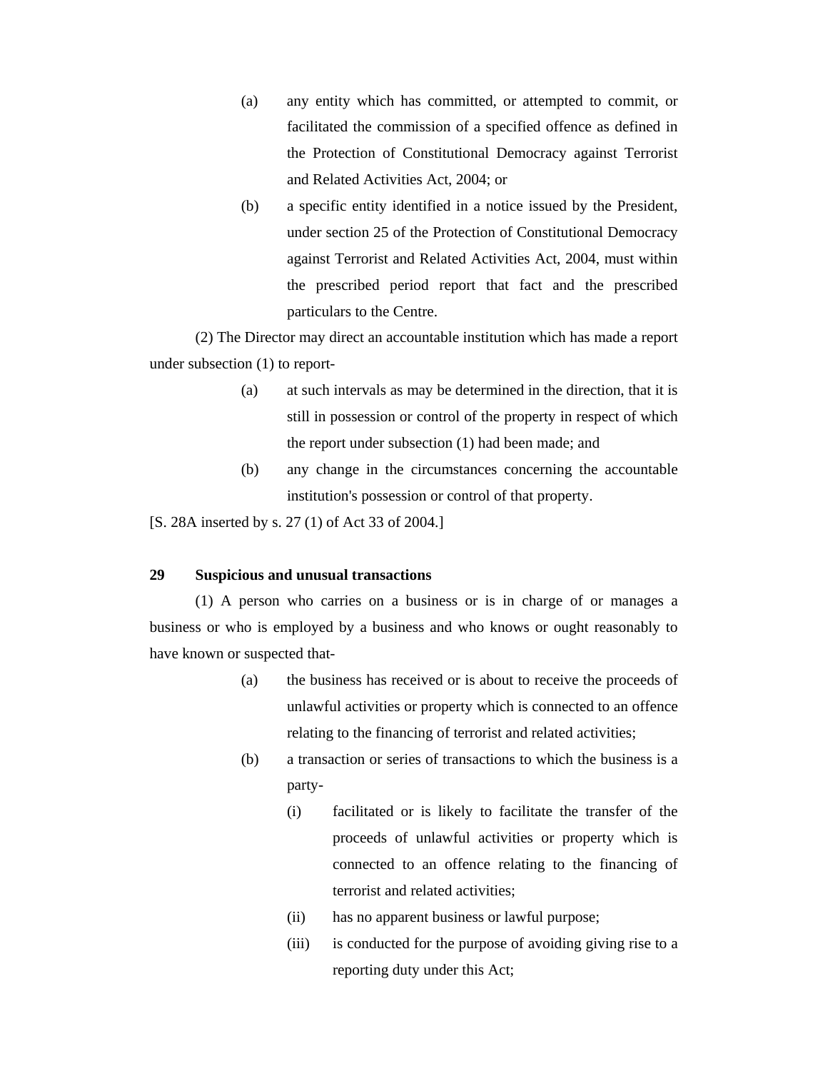- (a) any entity which has committed, or attempted to commit, or facilitated the commission of a specified offence as defined in the Protection of Constitutional Democracy against Terrorist and Related Activities Act, 2004; or
- (b) a specific entity identified in a notice issued by the President, under section 25 of the Protection of Constitutional Democracy against Terrorist and Related Activities Act, 2004, must within the prescribed period report that fact and the prescribed particulars to the Centre.

 (2) The Director may direct an accountable institution which has made a report under subsection (1) to report-

- (a) at such intervals as may be determined in the direction, that it is still in possession or control of the property in respect of which the report under subsection (1) had been made; and
- (b) any change in the circumstances concerning the accountable institution's possession or control of that property.

[S. 28A inserted by s. 27 (1) of Act 33 of 2004.]

### **29 Suspicious and unusual transactions**

 (1) A person who carries on a business or is in charge of or manages a business or who is employed by a business and who knows or ought reasonably to have known or suspected that-

- (a) the business has received or is about to receive the proceeds of unlawful activities or property which is connected to an offence relating to the financing of terrorist and related activities;
- (b) a transaction or series of transactions to which the business is a party-
	- (i) facilitated or is likely to facilitate the transfer of the proceeds of unlawful activities or property which is connected to an offence relating to the financing of terrorist and related activities;
	- (ii) has no apparent business or lawful purpose;
	- (iii) is conducted for the purpose of avoiding giving rise to a reporting duty under this Act;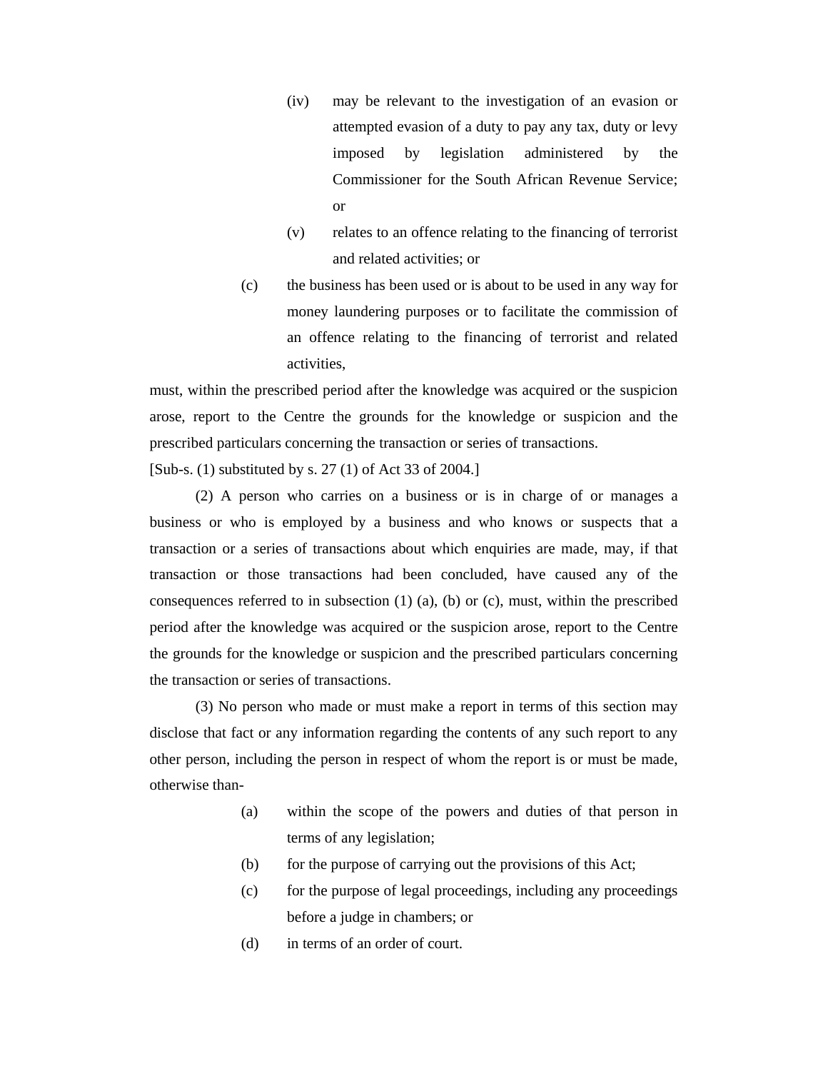- (iv) may be relevant to the investigation of an evasion or attempted evasion of a duty to pay any tax, duty or levy imposed by legislation administered by the Commissioner for the South African Revenue Service; or
- (v) relates to an offence relating to the financing of terrorist and related activities; or
- (c) the business has been used or is about to be used in any way for money laundering purposes or to facilitate the commission of an offence relating to the financing of terrorist and related activities,

must, within the prescribed period after the knowledge was acquired or the suspicion arose, report to the Centre the grounds for the knowledge or suspicion and the prescribed particulars concerning the transaction or series of transactions.

[Sub-s. (1) substituted by s. 27 (1) of Act 33 of 2004.]

 (2) A person who carries on a business or is in charge of or manages a business or who is employed by a business and who knows or suspects that a transaction or a series of transactions about which enquiries are made, may, if that transaction or those transactions had been concluded, have caused any of the consequences referred to in subsection  $(1)$   $(a)$ ,  $(b)$  or  $(c)$ , must, within the prescribed period after the knowledge was acquired or the suspicion arose, report to the Centre the grounds for the knowledge or suspicion and the prescribed particulars concerning the transaction or series of transactions.

 (3) No person who made or must make a report in terms of this section may disclose that fact or any information regarding the contents of any such report to any other person, including the person in respect of whom the report is or must be made, otherwise than-

- (a) within the scope of the powers and duties of that person in terms of any legislation;
- (b) for the purpose of carrying out the provisions of this Act;
- (c) for the purpose of legal proceedings, including any proceedings before a judge in chambers; or
- (d) in terms of an order of court.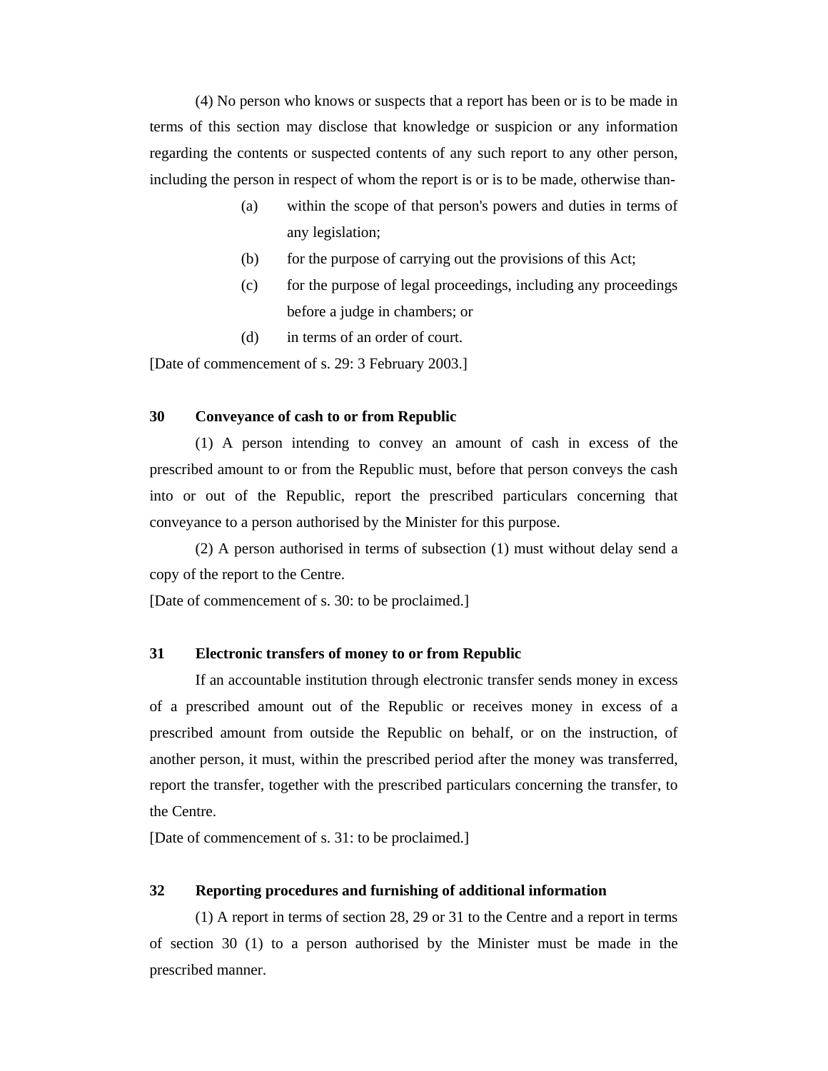(4) No person who knows or suspects that a report has been or is to be made in terms of this section may disclose that knowledge or suspicion or any information regarding the contents or suspected contents of any such report to any other person, including the person in respect of whom the report is or is to be made, otherwise than-

- (a) within the scope of that person's powers and duties in terms of any legislation;
- (b) for the purpose of carrying out the provisions of this Act;
- (c) for the purpose of legal proceedings, including any proceedings before a judge in chambers; or
- (d) in terms of an order of court.

[Date of commencement of s. 29: 3 February 2003.]

#### **30 Conveyance of cash to or from Republic**

 (1) A person intending to convey an amount of cash in excess of the prescribed amount to or from the Republic must, before that person conveys the cash into or out of the Republic, report the prescribed particulars concerning that conveyance to a person authorised by the Minister for this purpose.

 (2) A person authorised in terms of subsection (1) must without delay send a copy of the report to the Centre.

[Date of commencement of s. 30: to be proclaimed.]

### **31 Electronic transfers of money to or from Republic**

 If an accountable institution through electronic transfer sends money in excess of a prescribed amount out of the Republic or receives money in excess of a prescribed amount from outside the Republic on behalf, or on the instruction, of another person, it must, within the prescribed period after the money was transferred, report the transfer, together with the prescribed particulars concerning the transfer, to the Centre.

[Date of commencement of s. 31: to be proclaimed.]

### **32 Reporting procedures and furnishing of additional information**

 (1) A report in terms of section 28, 29 or 31 to the Centre and a report in terms of section 30 (1) to a person authorised by the Minister must be made in the prescribed manner.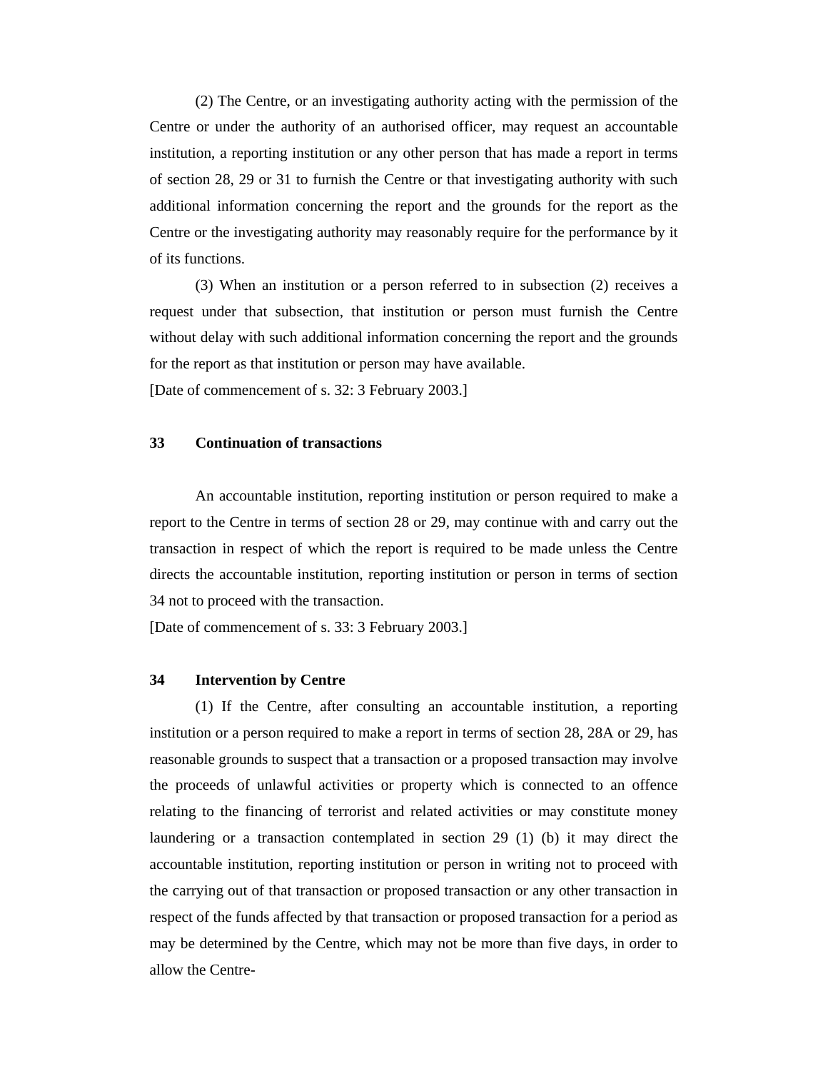(2) The Centre, or an investigating authority acting with the permission of the Centre or under the authority of an authorised officer, may request an accountable institution, a reporting institution or any other person that has made a report in terms of section 28, 29 or 31 to furnish the Centre or that investigating authority with such additional information concerning the report and the grounds for the report as the Centre or the investigating authority may reasonably require for the performance by it of its functions.

 (3) When an institution or a person referred to in subsection (2) receives a request under that subsection, that institution or person must furnish the Centre without delay with such additional information concerning the report and the grounds for the report as that institution or person may have available.

[Date of commencement of s. 32: 3 February 2003.]

#### **33 Continuation of transactions**

 An accountable institution, reporting institution or person required to make a report to the Centre in terms of section 28 or 29, may continue with and carry out the transaction in respect of which the report is required to be made unless the Centre directs the accountable institution, reporting institution or person in terms of section 34 not to proceed with the transaction.

[Date of commencement of s. 33: 3 February 2003.]

#### **34 Intervention by Centre**

 (1) If the Centre, after consulting an accountable institution, a reporting institution or a person required to make a report in terms of section 28, 28A or 29, has reasonable grounds to suspect that a transaction or a proposed transaction may involve the proceeds of unlawful activities or property which is connected to an offence relating to the financing of terrorist and related activities or may constitute money laundering or a transaction contemplated in section 29 (1) (b) it may direct the accountable institution, reporting institution or person in writing not to proceed with the carrying out of that transaction or proposed transaction or any other transaction in respect of the funds affected by that transaction or proposed transaction for a period as may be determined by the Centre, which may not be more than five days, in order to allow the Centre-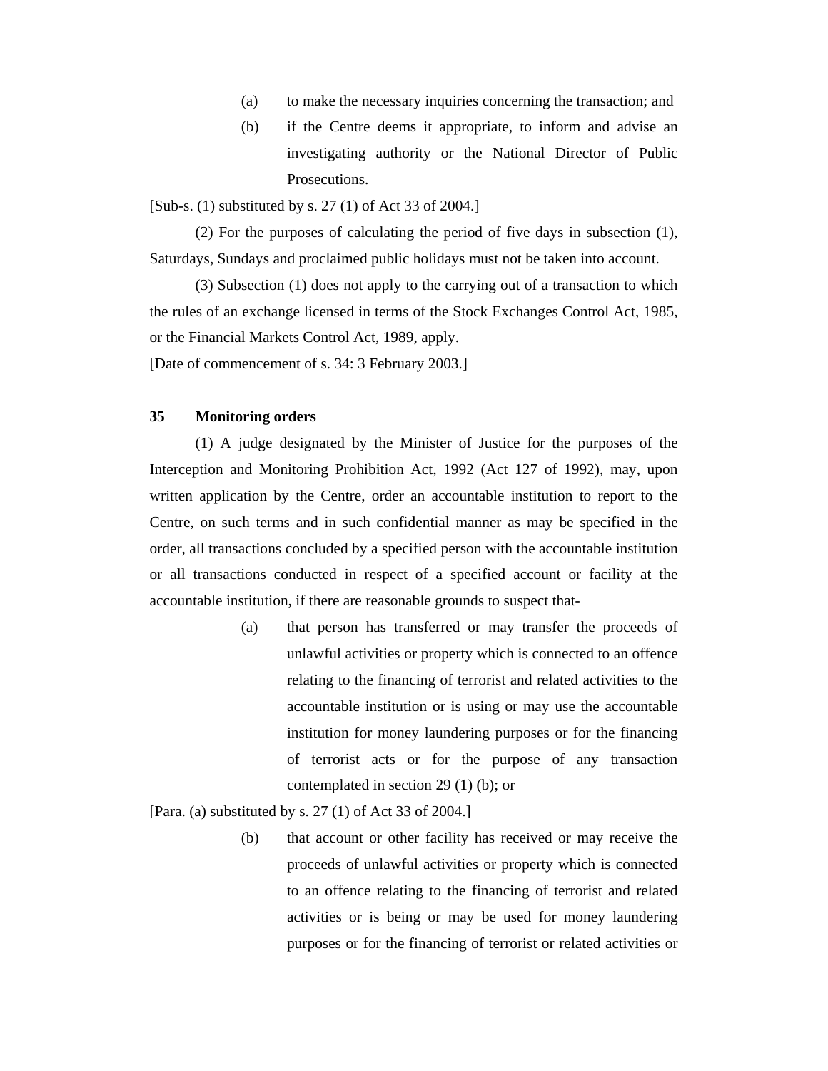- (a) to make the necessary inquiries concerning the transaction; and
- (b) if the Centre deems it appropriate, to inform and advise an investigating authority or the National Director of Public Prosecutions.

[Sub-s. (1) substituted by s. 27 (1) of Act 33 of 2004.]

 (2) For the purposes of calculating the period of five days in subsection (1), Saturdays, Sundays and proclaimed public holidays must not be taken into account.

 (3) Subsection (1) does not apply to the carrying out of a transaction to which the rules of an exchange licensed in terms of the Stock Exchanges Control Act, 1985, or the Financial Markets Control Act, 1989, apply.

[Date of commencement of s. 34: 3 February 2003.]

# **35 Monitoring orders**

 (1) A judge designated by the Minister of Justice for the purposes of the Interception and Monitoring Prohibition Act, 1992 (Act 127 of 1992), may, upon written application by the Centre, order an accountable institution to report to the Centre, on such terms and in such confidential manner as may be specified in the order, all transactions concluded by a specified person with the accountable institution or all transactions conducted in respect of a specified account or facility at the accountable institution, if there are reasonable grounds to suspect that-

> (a) that person has transferred or may transfer the proceeds of unlawful activities or property which is connected to an offence relating to the financing of terrorist and related activities to the accountable institution or is using or may use the accountable institution for money laundering purposes or for the financing of terrorist acts or for the purpose of any transaction contemplated in section 29 (1) (b); or

[Para. (a) substituted by s.  $27(1)$  of Act 33 of 2004.]

(b) that account or other facility has received or may receive the proceeds of unlawful activities or property which is connected to an offence relating to the financing of terrorist and related activities or is being or may be used for money laundering purposes or for the financing of terrorist or related activities or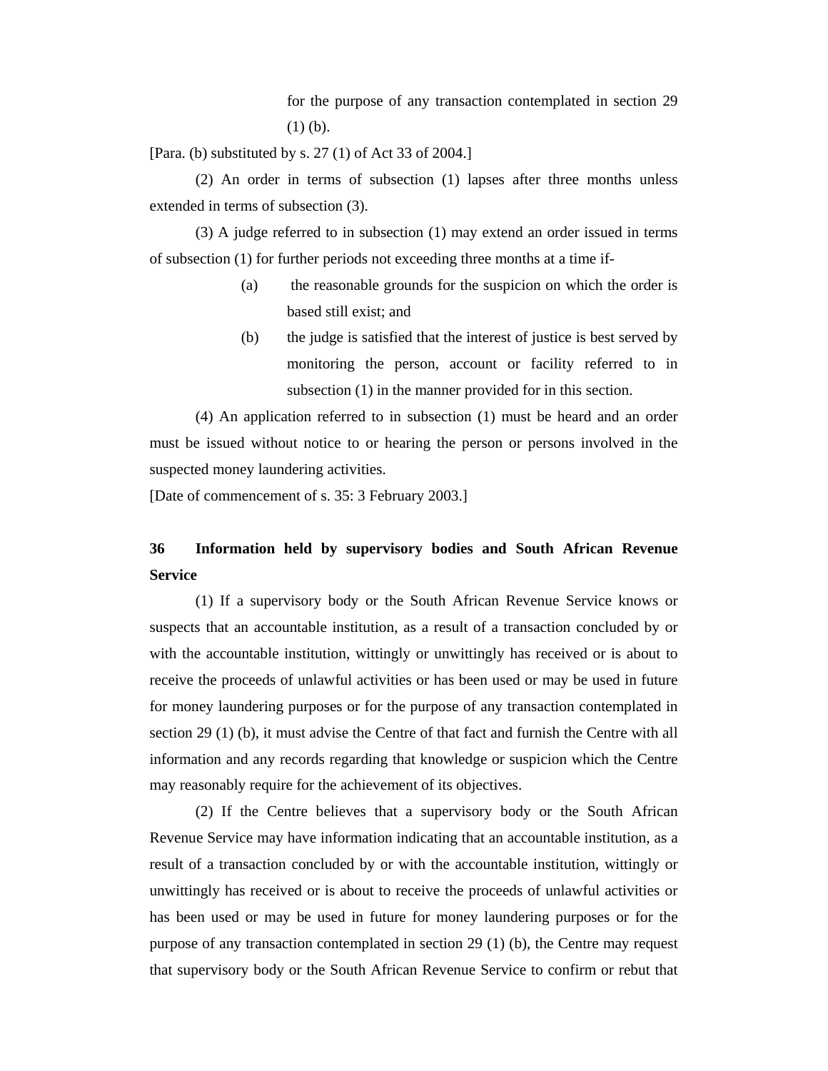for the purpose of any transaction contemplated in section 29 (1) (b).

[Para. (b) substituted by s. 27 (1) of Act 33 of 2004.]

 (2) An order in terms of subsection (1) lapses after three months unless extended in terms of subsection (3).

 (3) A judge referred to in subsection (1) may extend an order issued in terms of subsection (1) for further periods not exceeding three months at a time if-

- (a) the reasonable grounds for the suspicion on which the order is based still exist; and
- (b) the judge is satisfied that the interest of justice is best served by monitoring the person, account or facility referred to in subsection (1) in the manner provided for in this section.

 (4) An application referred to in subsection (1) must be heard and an order must be issued without notice to or hearing the person or persons involved in the suspected money laundering activities.

[Date of commencement of s. 35: 3 February 2003.]

# **36 Information held by supervisory bodies and South African Revenue Service**

 (1) If a supervisory body or the South African Revenue Service knows or suspects that an accountable institution, as a result of a transaction concluded by or with the accountable institution, wittingly or unwittingly has received or is about to receive the proceeds of unlawful activities or has been used or may be used in future for money laundering purposes or for the purpose of any transaction contemplated in section 29 (1) (b), it must advise the Centre of that fact and furnish the Centre with all information and any records regarding that knowledge or suspicion which the Centre may reasonably require for the achievement of its objectives.

 (2) If the Centre believes that a supervisory body or the South African Revenue Service may have information indicating that an accountable institution, as a result of a transaction concluded by or with the accountable institution, wittingly or unwittingly has received or is about to receive the proceeds of unlawful activities or has been used or may be used in future for money laundering purposes or for the purpose of any transaction contemplated in section 29 (1) (b), the Centre may request that supervisory body or the South African Revenue Service to confirm or rebut that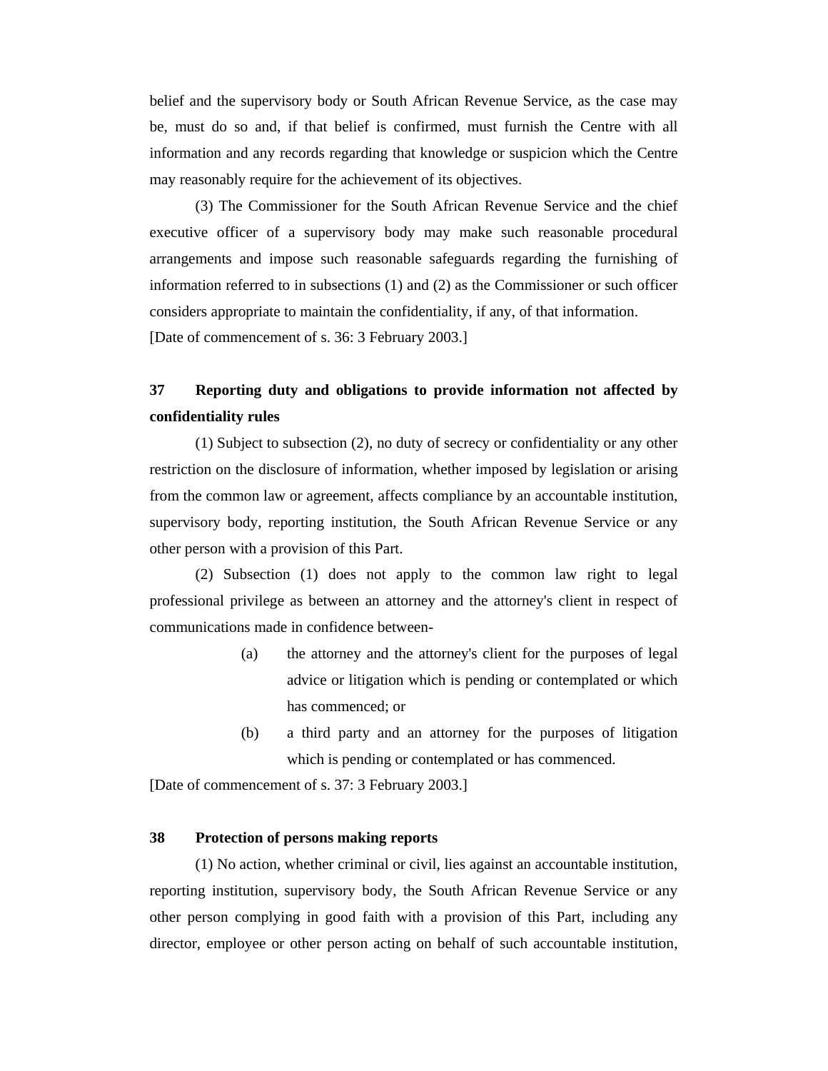belief and the supervisory body or South African Revenue Service, as the case may be, must do so and, if that belief is confirmed, must furnish the Centre with all information and any records regarding that knowledge or suspicion which the Centre may reasonably require for the achievement of its objectives.

 (3) The Commissioner for the South African Revenue Service and the chief executive officer of a supervisory body may make such reasonable procedural arrangements and impose such reasonable safeguards regarding the furnishing of information referred to in subsections (1) and (2) as the Commissioner or such officer considers appropriate to maintain the confidentiality, if any, of that information. [Date of commencement of s. 36: 3 February 2003.]

# **37 Reporting duty and obligations to provide information not affected by confidentiality rules**

 (1) Subject to subsection (2), no duty of secrecy or confidentiality or any other restriction on the disclosure of information, whether imposed by legislation or arising from the common law or agreement, affects compliance by an accountable institution, supervisory body, reporting institution, the South African Revenue Service or any other person with a provision of this Part.

 (2) Subsection (1) does not apply to the common law right to legal professional privilege as between an attorney and the attorney's client in respect of communications made in confidence between-

- (a) the attorney and the attorney's client for the purposes of legal advice or litigation which is pending or contemplated or which has commenced; or
- (b) a third party and an attorney for the purposes of litigation which is pending or contemplated or has commenced.

[Date of commencement of s. 37: 3 February 2003.]

#### **38 Protection of persons making reports**

 (1) No action, whether criminal or civil, lies against an accountable institution, reporting institution, supervisory body, the South African Revenue Service or any other person complying in good faith with a provision of this Part, including any director, employee or other person acting on behalf of such accountable institution,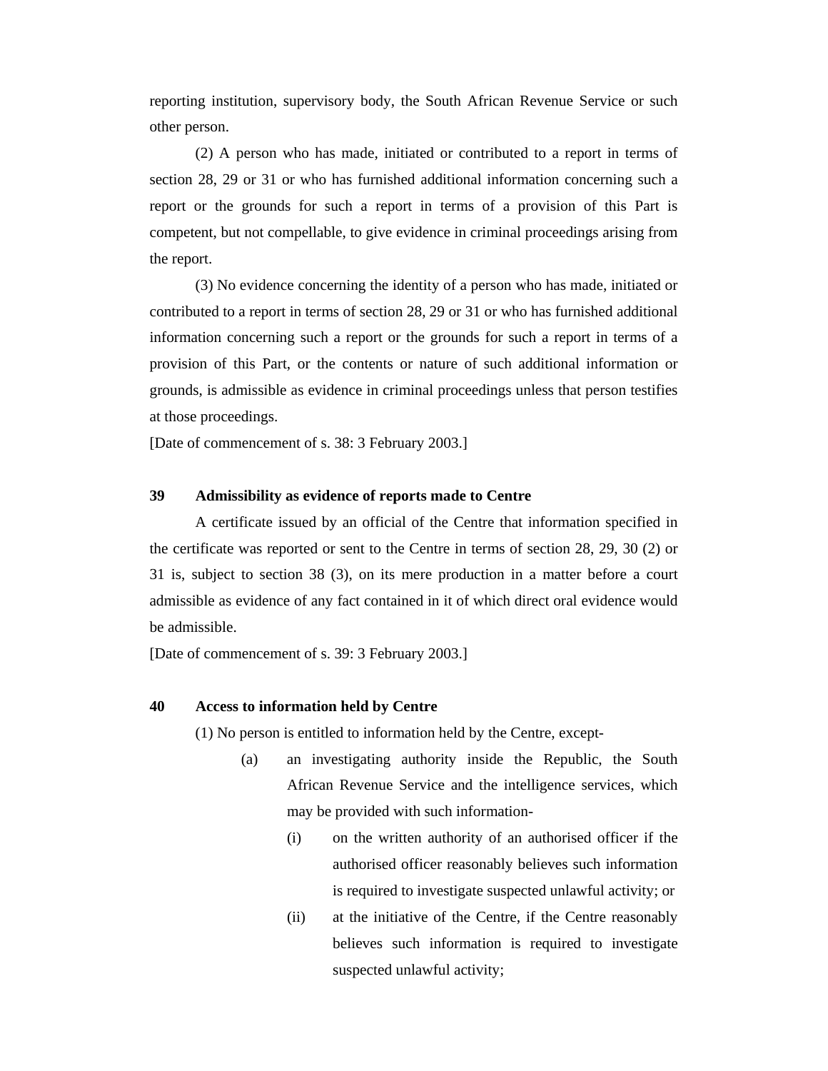reporting institution, supervisory body, the South African Revenue Service or such other person.

 (2) A person who has made, initiated or contributed to a report in terms of section 28, 29 or 31 or who has furnished additional information concerning such a report or the grounds for such a report in terms of a provision of this Part is competent, but not compellable, to give evidence in criminal proceedings arising from the report.

 (3) No evidence concerning the identity of a person who has made, initiated or contributed to a report in terms of section 28, 29 or 31 or who has furnished additional information concerning such a report or the grounds for such a report in terms of a provision of this Part, or the contents or nature of such additional information or grounds, is admissible as evidence in criminal proceedings unless that person testifies at those proceedings.

[Date of commencement of s. 38: 3 February 2003.]

### **39 Admissibility as evidence of reports made to Centre**

 A certificate issued by an official of the Centre that information specified in the certificate was reported or sent to the Centre in terms of section 28, 29, 30 (2) or 31 is, subject to section 38 (3), on its mere production in a matter before a court admissible as evidence of any fact contained in it of which direct oral evidence would be admissible.

[Date of commencement of s. 39: 3 February 2003.]

#### **40 Access to information held by Centre**

(1) No person is entitled to information held by the Centre, except-

- (a) an investigating authority inside the Republic, the South African Revenue Service and the intelligence services, which may be provided with such information-
	- (i) on the written authority of an authorised officer if the authorised officer reasonably believes such information is required to investigate suspected unlawful activity; or
	- (ii) at the initiative of the Centre, if the Centre reasonably believes such information is required to investigate suspected unlawful activity;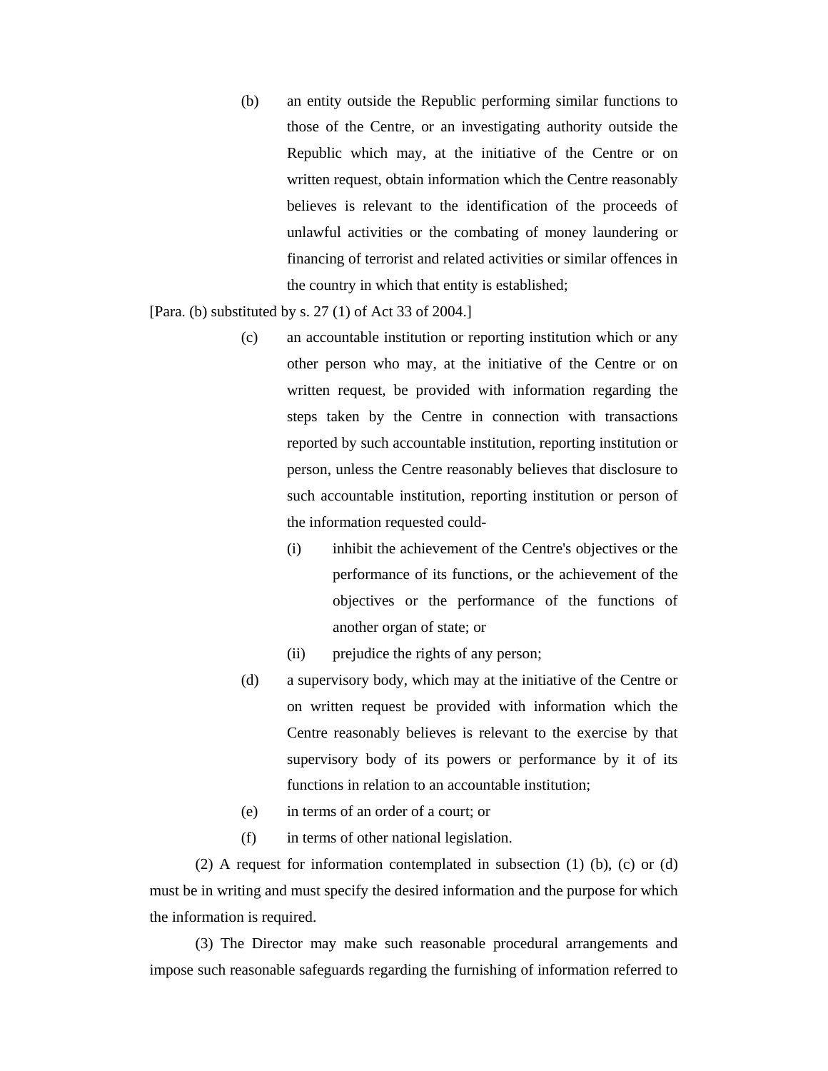(b) an entity outside the Republic performing similar functions to those of the Centre, or an investigating authority outside the Republic which may, at the initiative of the Centre or on written request, obtain information which the Centre reasonably believes is relevant to the identification of the proceeds of unlawful activities or the combating of money laundering or financing of terrorist and related activities or similar offences in the country in which that entity is established;

[Para. (b) substituted by s. 27 (1) of Act 33 of 2004.]

- (c) an accountable institution or reporting institution which or any other person who may, at the initiative of the Centre or on written request, be provided with information regarding the steps taken by the Centre in connection with transactions reported by such accountable institution, reporting institution or person, unless the Centre reasonably believes that disclosure to such accountable institution, reporting institution or person of the information requested could-
	- (i) inhibit the achievement of the Centre's objectives or the performance of its functions, or the achievement of the objectives or the performance of the functions of another organ of state; or
	- (ii) prejudice the rights of any person;
- (d) a supervisory body, which may at the initiative of the Centre or on written request be provided with information which the Centre reasonably believes is relevant to the exercise by that supervisory body of its powers or performance by it of its functions in relation to an accountable institution;
- (e) in terms of an order of a court; or
- (f) in terms of other national legislation.

 (2) A request for information contemplated in subsection (1) (b), (c) or (d) must be in writing and must specify the desired information and the purpose for which the information is required.

 (3) The Director may make such reasonable procedural arrangements and impose such reasonable safeguards regarding the furnishing of information referred to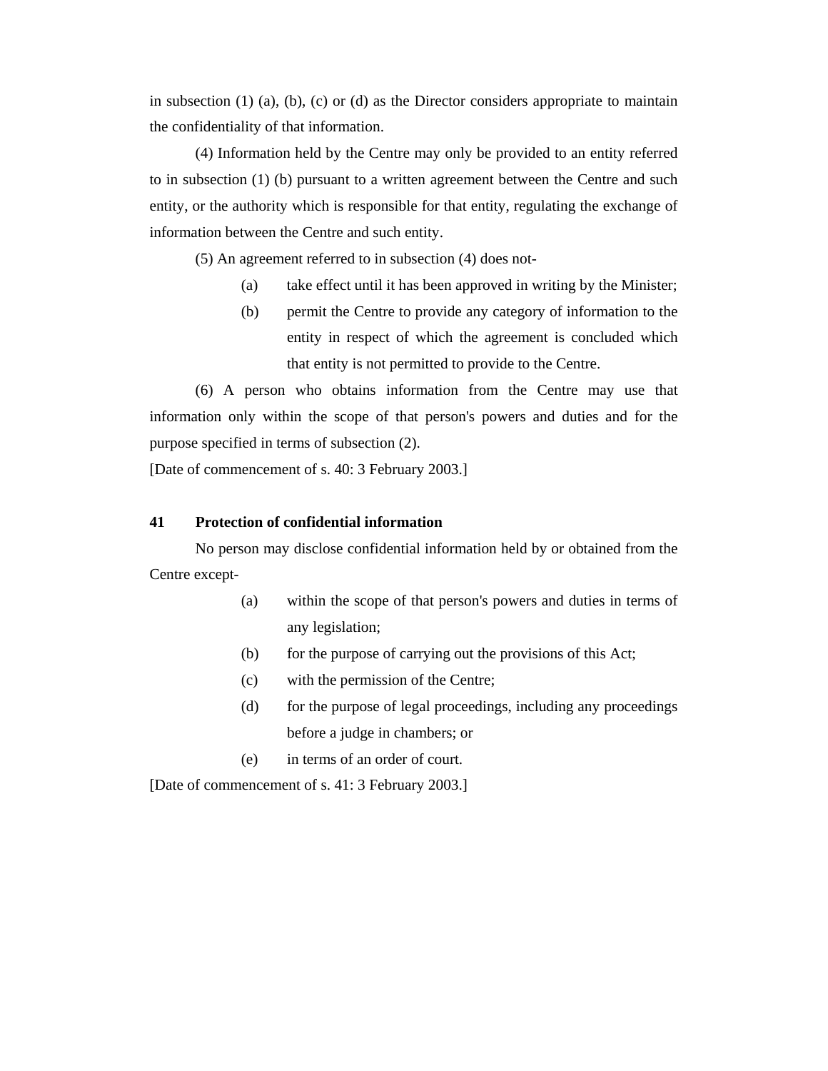in subsection  $(1)$   $(a)$ ,  $(b)$ ,  $(c)$  or  $(d)$  as the Director considers appropriate to maintain the confidentiality of that information.

 (4) Information held by the Centre may only be provided to an entity referred to in subsection (1) (b) pursuant to a written agreement between the Centre and such entity, or the authority which is responsible for that entity, regulating the exchange of information between the Centre and such entity.

(5) An agreement referred to in subsection (4) does not-

- (a) take effect until it has been approved in writing by the Minister;
- (b) permit the Centre to provide any category of information to the entity in respect of which the agreement is concluded which that entity is not permitted to provide to the Centre.

 (6) A person who obtains information from the Centre may use that information only within the scope of that person's powers and duties and for the purpose specified in terms of subsection (2).

[Date of commencement of s. 40: 3 February 2003.]

### **41 Protection of confidential information**

 No person may disclose confidential information held by or obtained from the Centre except-

- (a) within the scope of that person's powers and duties in terms of any legislation;
- (b) for the purpose of carrying out the provisions of this Act;
- (c) with the permission of the Centre;
- (d) for the purpose of legal proceedings, including any proceedings before a judge in chambers; or
- (e) in terms of an order of court.

[Date of commencement of s. 41: 3 February 2003.]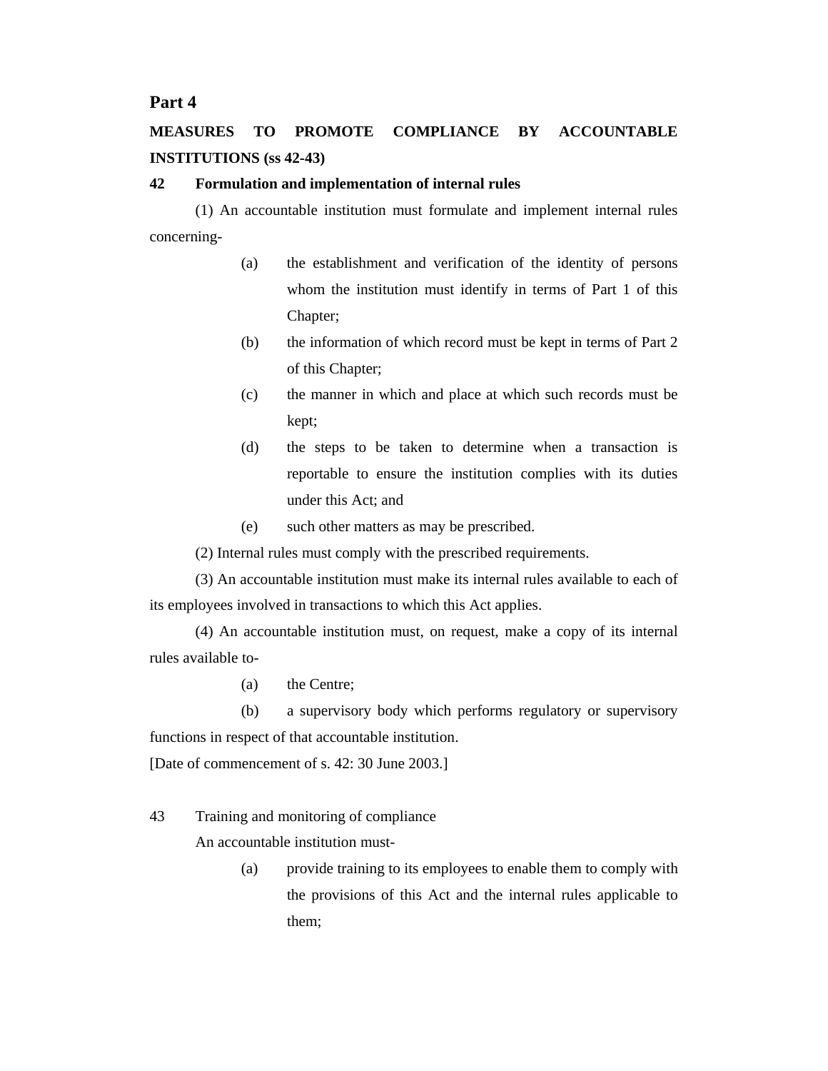# **Part 4**

# **MEASURES TO PROMOTE COMPLIANCE BY ACCOUNTABLE INSTITUTIONS (ss 42-43)**

### **42 Formulation and implementation of internal rules**

 (1) An accountable institution must formulate and implement internal rules concerning-

- (a) the establishment and verification of the identity of persons whom the institution must identify in terms of Part 1 of this Chapter;
- (b) the information of which record must be kept in terms of Part 2 of this Chapter;
- (c) the manner in which and place at which such records must be kept;
- (d) the steps to be taken to determine when a transaction is reportable to ensure the institution complies with its duties under this Act; and
- (e) such other matters as may be prescribed.

(2) Internal rules must comply with the prescribed requirements.

 (3) An accountable institution must make its internal rules available to each of its employees involved in transactions to which this Act applies.

 (4) An accountable institution must, on request, make a copy of its internal rules available to-

(a) the Centre;

 (b) a supervisory body which performs regulatory or supervisory functions in respect of that accountable institution.

[Date of commencement of s. 42: 30 June 2003.]

43 Training and monitoring of compliance

An accountable institution must-

(a) provide training to its employees to enable them to comply with the provisions of this Act and the internal rules applicable to them;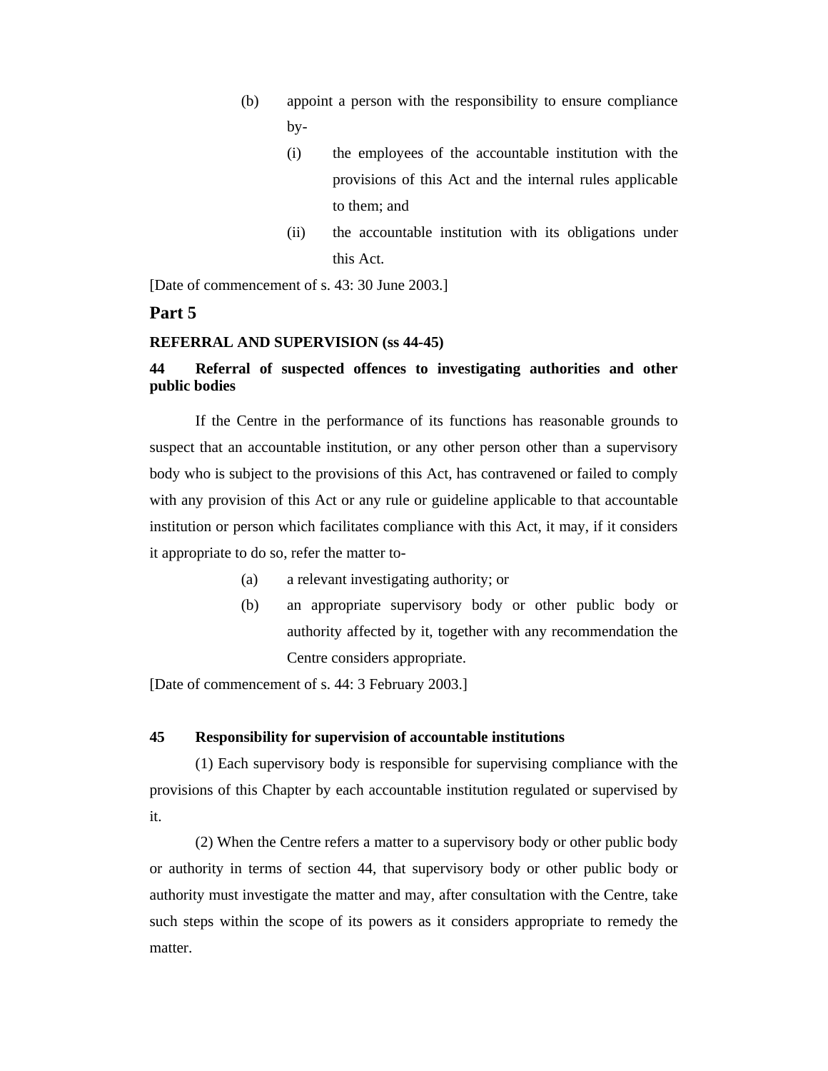- (b) appoint a person with the responsibility to ensure compliance by-
	- (i) the employees of the accountable institution with the provisions of this Act and the internal rules applicable to them; and
	- (ii) the accountable institution with its obligations under this Act.

[Date of commencement of s. 43: 30 June 2003.]

# **Part 5**

#### **REFERRAL AND SUPERVISION (ss 44-45)**

# **44 Referral of suspected offences to investigating authorities and other public bodies**

 If the Centre in the performance of its functions has reasonable grounds to suspect that an accountable institution, or any other person other than a supervisory body who is subject to the provisions of this Act, has contravened or failed to comply with any provision of this Act or any rule or guideline applicable to that accountable institution or person which facilitates compliance with this Act, it may, if it considers it appropriate to do so, refer the matter to-

- (a) a relevant investigating authority; or
- (b) an appropriate supervisory body or other public body or authority affected by it, together with any recommendation the Centre considers appropriate.

[Date of commencement of s. 44: 3 February 2003.]

#### **45 Responsibility for supervision of accountable institutions**

 (1) Each supervisory body is responsible for supervising compliance with the provisions of this Chapter by each accountable institution regulated or supervised by it.

 (2) When the Centre refers a matter to a supervisory body or other public body or authority in terms of section 44, that supervisory body or other public body or authority must investigate the matter and may, after consultation with the Centre, take such steps within the scope of its powers as it considers appropriate to remedy the matter.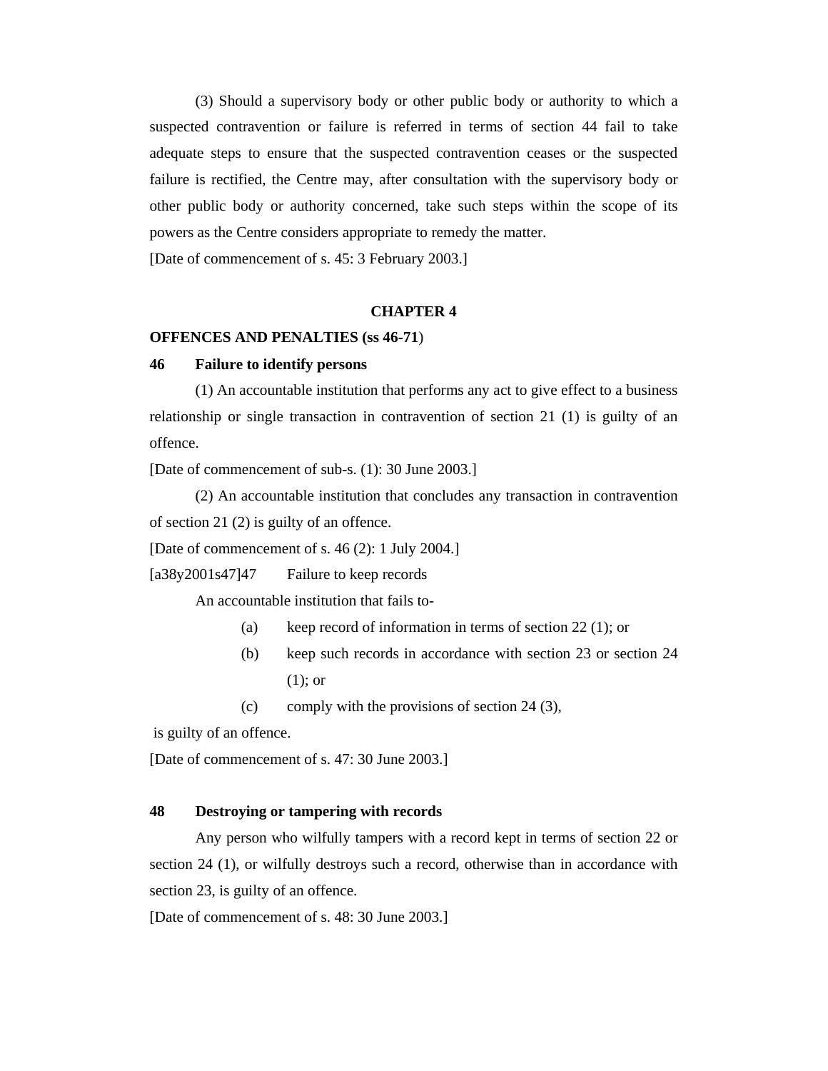(3) Should a supervisory body or other public body or authority to which a suspected contravention or failure is referred in terms of section 44 fail to take adequate steps to ensure that the suspected contravention ceases or the suspected failure is rectified, the Centre may, after consultation with the supervisory body or other public body or authority concerned, take such steps within the scope of its powers as the Centre considers appropriate to remedy the matter.

[Date of commencement of s. 45: 3 February 2003.]

### **CHAPTER 4**

#### **OFFENCES AND PENALTIES (ss 46-71**)

#### **46 Failure to identify persons**

 (1) An accountable institution that performs any act to give effect to a business relationship or single transaction in contravention of section 21 (1) is guilty of an offence.

[Date of commencement of sub-s. (1): 30 June 2003.]

 (2) An accountable institution that concludes any transaction in contravention of section 21 (2) is guilty of an offence.

[Date of commencement of s. 46 (2): 1 July 2004.]

[a38y2001s47]47 Failure to keep records

An accountable institution that fails to-

- (a) keep record of information in terms of section 22 (1); or
- (b) keep such records in accordance with section 23 or section 24 (1); or
- (c) comply with the provisions of section 24 (3),

is guilty of an offence.

[Date of commencement of s. 47: 30 June 2003.]

# **48 Destroying or tampering with records**

 Any person who wilfully tampers with a record kept in terms of section 22 or section 24 (1), or wilfully destroys such a record, otherwise than in accordance with section 23, is guilty of an offence.

[Date of commencement of s. 48: 30 June 2003.]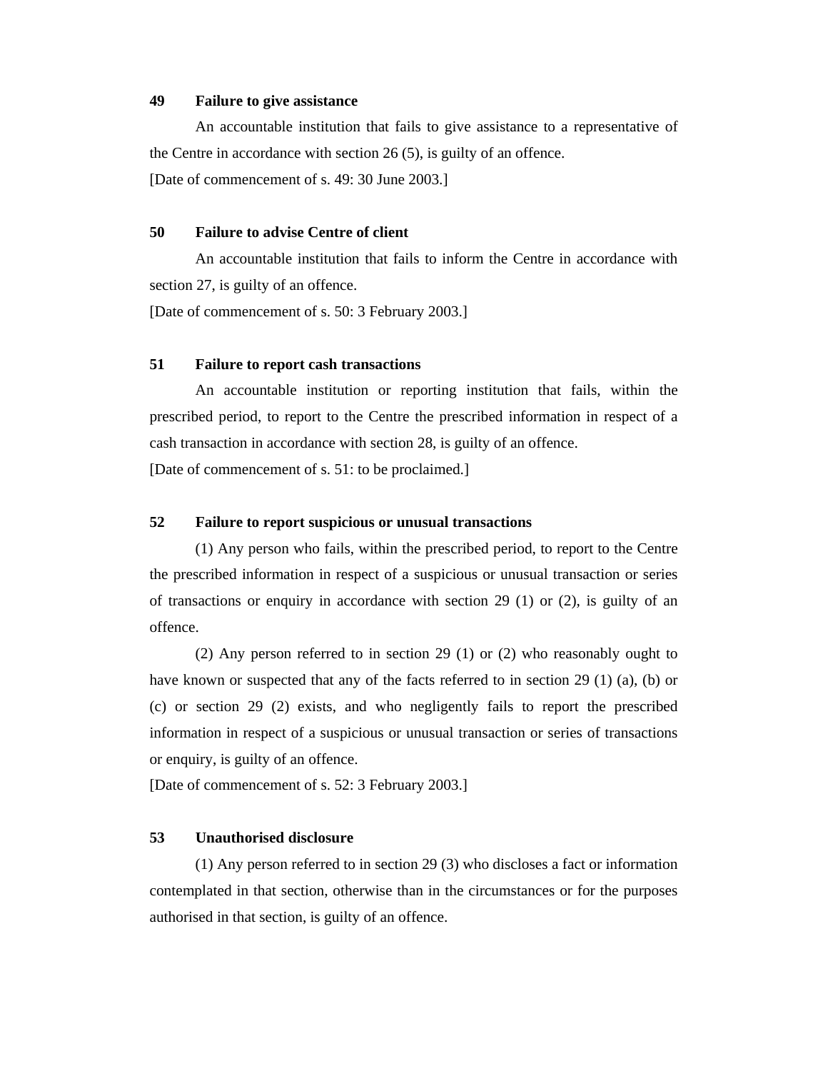#### **49 Failure to give assistance**

 An accountable institution that fails to give assistance to a representative of the Centre in accordance with section 26 (5), is guilty of an offence. [Date of commencement of s. 49: 30 June 2003.]

## **50 Failure to advise Centre of client**

 An accountable institution that fails to inform the Centre in accordance with section 27, is guilty of an offence.

[Date of commencement of s. 50: 3 February 2003.]

### **51 Failure to report cash transactions**

 An accountable institution or reporting institution that fails, within the prescribed period, to report to the Centre the prescribed information in respect of a cash transaction in accordance with section 28, is guilty of an offence. [Date of commencement of s. 51: to be proclaimed.]

#### **52 Failure to report suspicious or unusual transactions**

 (1) Any person who fails, within the prescribed period, to report to the Centre the prescribed information in respect of a suspicious or unusual transaction or series of transactions or enquiry in accordance with section 29 (1) or (2), is guilty of an offence.

 (2) Any person referred to in section 29 (1) or (2) who reasonably ought to have known or suspected that any of the facts referred to in section 29 (1) (a), (b) or (c) or section 29 (2) exists, and who negligently fails to report the prescribed information in respect of a suspicious or unusual transaction or series of transactions or enquiry, is guilty of an offence.

[Date of commencement of s. 52: 3 February 2003.]

#### **53 Unauthorised disclosure**

 (1) Any person referred to in section 29 (3) who discloses a fact or information contemplated in that section, otherwise than in the circumstances or for the purposes authorised in that section, is guilty of an offence.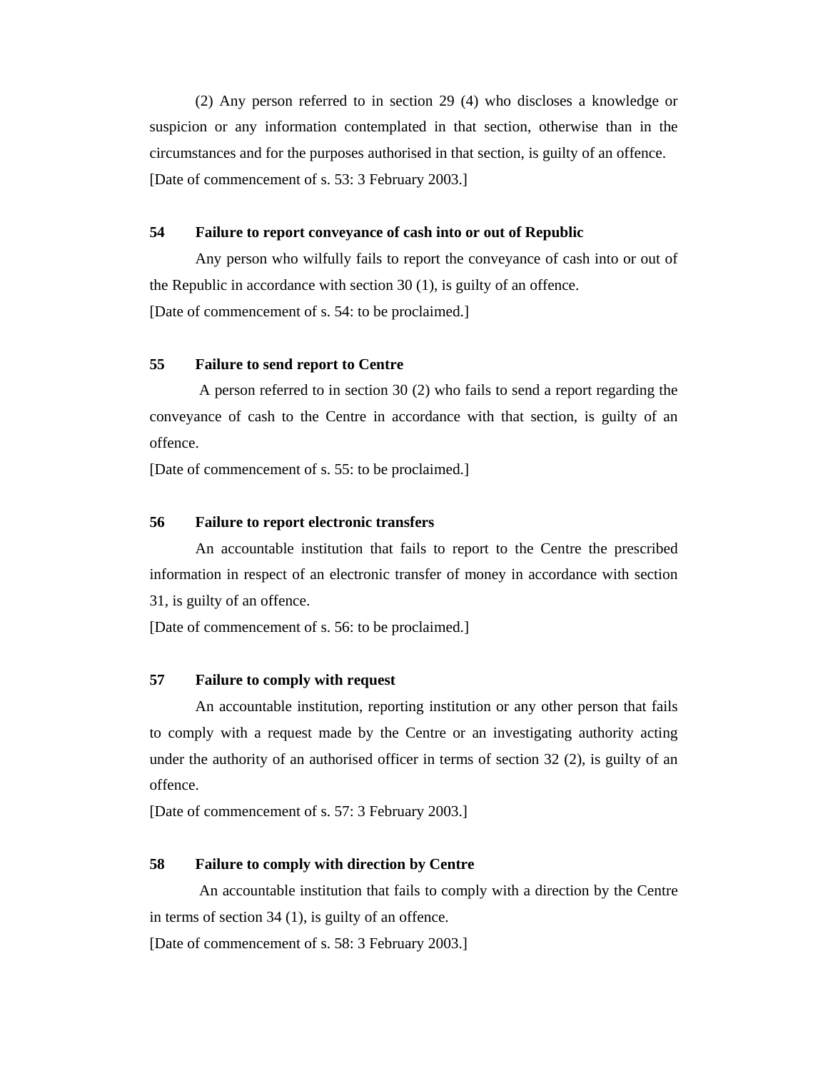(2) Any person referred to in section 29 (4) who discloses a knowledge or suspicion or any information contemplated in that section, otherwise than in the circumstances and for the purposes authorised in that section, is guilty of an offence. [Date of commencement of s. 53: 3 February 2003.]

#### **54 Failure to report conveyance of cash into or out of Republic**

 Any person who wilfully fails to report the conveyance of cash into or out of the Republic in accordance with section 30 (1), is guilty of an offence. [Date of commencement of s. 54: to be proclaimed.]

#### **55 Failure to send report to Centre**

 A person referred to in section 30 (2) who fails to send a report regarding the conveyance of cash to the Centre in accordance with that section, is guilty of an offence.

[Date of commencement of s. 55: to be proclaimed.]

### **56 Failure to report electronic transfers**

 An accountable institution that fails to report to the Centre the prescribed information in respect of an electronic transfer of money in accordance with section 31, is guilty of an offence.

[Date of commencement of s. 56: to be proclaimed.]

#### **57 Failure to comply with request**

 An accountable institution, reporting institution or any other person that fails to comply with a request made by the Centre or an investigating authority acting under the authority of an authorised officer in terms of section 32 (2), is guilty of an offence.

[Date of commencement of s. 57: 3 February 2003.]

### **58 Failure to comply with direction by Centre**

 An accountable institution that fails to comply with a direction by the Centre in terms of section 34 (1), is guilty of an offence.

[Date of commencement of s. 58: 3 February 2003.]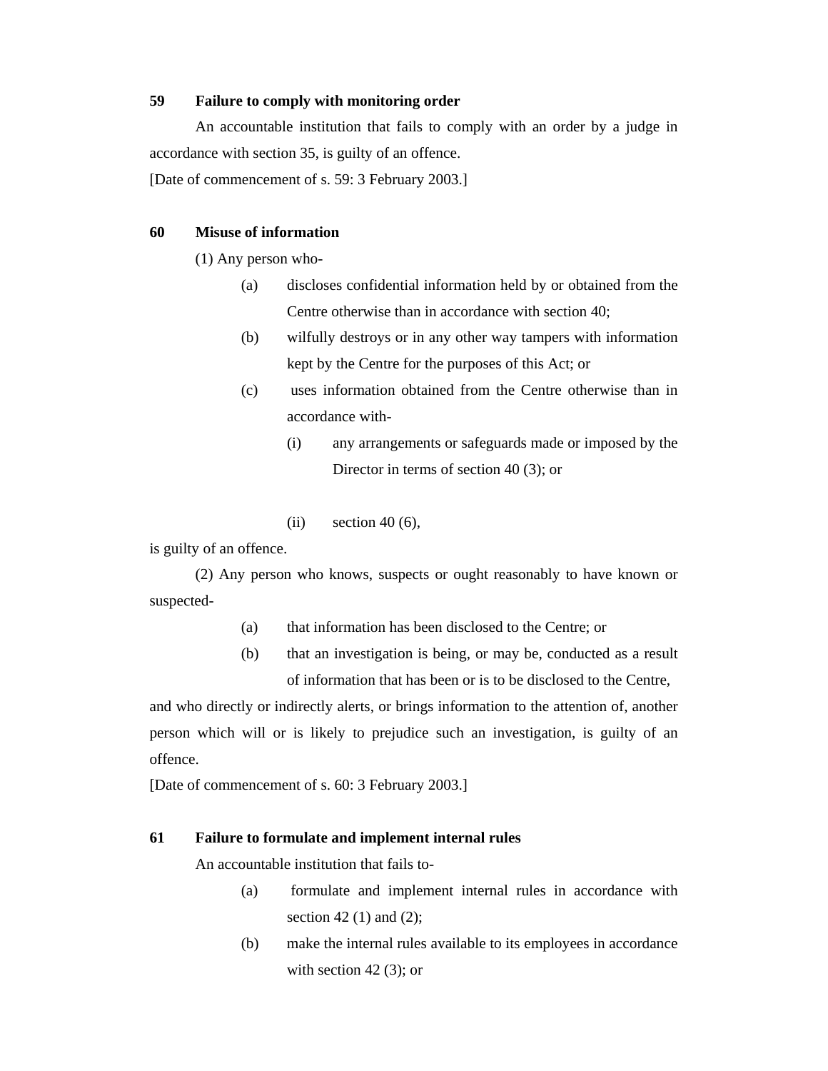# **59 Failure to comply with monitoring order**

 An accountable institution that fails to comply with an order by a judge in accordance with section 35, is guilty of an offence.

[Date of commencement of s. 59: 3 February 2003.]

### **60 Misuse of information**

(1) Any person who-

- (a) discloses confidential information held by or obtained from the Centre otherwise than in accordance with section 40;
- (b) wilfully destroys or in any other way tampers with information kept by the Centre for the purposes of this Act; or
- (c) uses information obtained from the Centre otherwise than in accordance with-
	- (i) any arrangements or safeguards made or imposed by the Director in terms of section 40 (3); or
	- (ii) section  $40(6)$ ,

is guilty of an offence.

 (2) Any person who knows, suspects or ought reasonably to have known or suspected-

- (a) that information has been disclosed to the Centre; or
- (b) that an investigation is being, or may be, conducted as a result of information that has been or is to be disclosed to the Centre,

and who directly or indirectly alerts, or brings information to the attention of, another person which will or is likely to prejudice such an investigation, is guilty of an offence.

[Date of commencement of s. 60: 3 February 2003.]

# **61 Failure to formulate and implement internal rules**

An accountable institution that fails to-

- (a) formulate and implement internal rules in accordance with section 42 $(1)$  and  $(2)$ ;
- (b) make the internal rules available to its employees in accordance with section  $42$  (3); or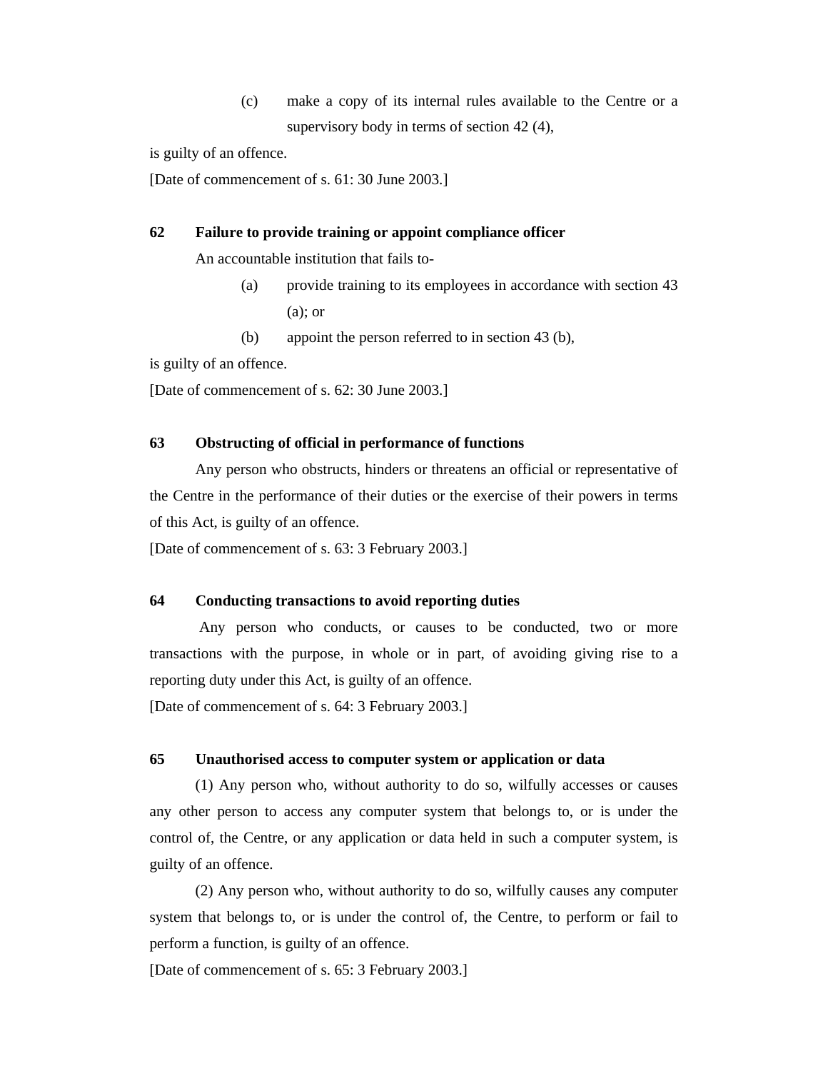(c) make a copy of its internal rules available to the Centre or a supervisory body in terms of section 42 (4),

is guilty of an offence.

[Date of commencement of s. 61: 30 June 2003.]

## **62 Failure to provide training or appoint compliance officer**

An accountable institution that fails to-

- (a) provide training to its employees in accordance with section 43 (a); or
- (b) appoint the person referred to in section 43 (b),

is guilty of an offence.

[Date of commencement of s. 62: 30 June 2003.]

#### **63 Obstructing of official in performance of functions**

 Any person who obstructs, hinders or threatens an official or representative of the Centre in the performance of their duties or the exercise of their powers in terms of this Act, is guilty of an offence.

[Date of commencement of s. 63: 3 February 2003.]

## **64 Conducting transactions to avoid reporting duties**

 Any person who conducts, or causes to be conducted, two or more transactions with the purpose, in whole or in part, of avoiding giving rise to a reporting duty under this Act, is guilty of an offence.

[Date of commencement of s. 64: 3 February 2003.]

### **65 Unauthorised access to computer system or application or data**

 (1) Any person who, without authority to do so, wilfully accesses or causes any other person to access any computer system that belongs to, or is under the control of, the Centre, or any application or data held in such a computer system, is guilty of an offence.

 (2) Any person who, without authority to do so, wilfully causes any computer system that belongs to, or is under the control of, the Centre, to perform or fail to perform a function, is guilty of an offence.

[Date of commencement of s. 65: 3 February 2003.]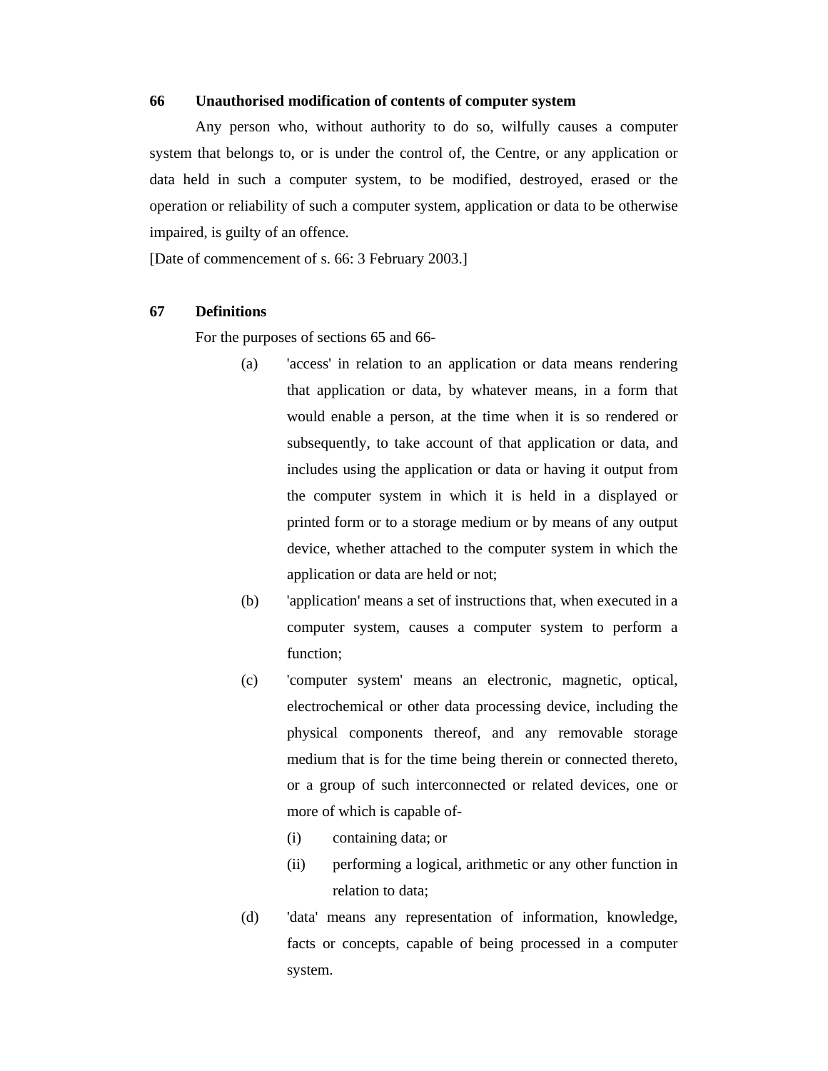#### **66 Unauthorised modification of contents of computer system**

 Any person who, without authority to do so, wilfully causes a computer system that belongs to, or is under the control of, the Centre, or any application or data held in such a computer system, to be modified, destroyed, erased or the operation or reliability of such a computer system, application or data to be otherwise impaired, is guilty of an offence.

[Date of commencement of s. 66: 3 February 2003.]

#### **67 Definitions**

For the purposes of sections 65 and 66-

- (a) 'access' in relation to an application or data means rendering that application or data, by whatever means, in a form that would enable a person, at the time when it is so rendered or subsequently, to take account of that application or data, and includes using the application or data or having it output from the computer system in which it is held in a displayed or printed form or to a storage medium or by means of any output device, whether attached to the computer system in which the application or data are held or not;
- (b) 'application' means a set of instructions that, when executed in a computer system, causes a computer system to perform a function;
- (c) 'computer system' means an electronic, magnetic, optical, electrochemical or other data processing device, including the physical components thereof, and any removable storage medium that is for the time being therein or connected thereto, or a group of such interconnected or related devices, one or more of which is capable of-
	- (i) containing data; or
	- (ii) performing a logical, arithmetic or any other function in relation to data;
- (d) 'data' means any representation of information, knowledge, facts or concepts, capable of being processed in a computer system.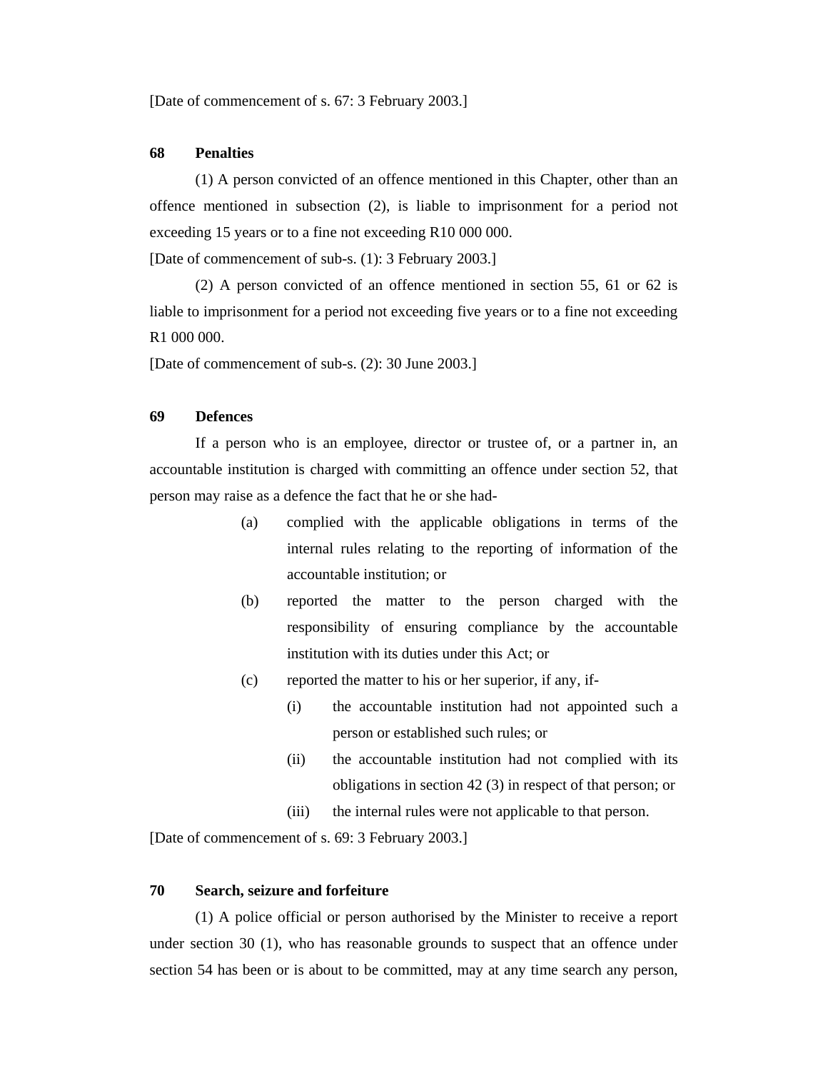[Date of commencement of s. 67: 3 February 2003.]

### **68 Penalties**

 (1) A person convicted of an offence mentioned in this Chapter, other than an offence mentioned in subsection (2), is liable to imprisonment for a period not exceeding 15 years or to a fine not exceeding R10 000 000.

[Date of commencement of sub-s. (1): 3 February 2003.]

 (2) A person convicted of an offence mentioned in section 55, 61 or 62 is liable to imprisonment for a period not exceeding five years or to a fine not exceeding R1 000 000.

[Date of commencement of sub-s. (2): 30 June 2003.]

# **69 Defences**

 If a person who is an employee, director or trustee of, or a partner in, an accountable institution is charged with committing an offence under section 52, that person may raise as a defence the fact that he or she had-

- (a) complied with the applicable obligations in terms of the internal rules relating to the reporting of information of the accountable institution; or
- (b) reported the matter to the person charged with the responsibility of ensuring compliance by the accountable institution with its duties under this Act; or
- (c) reported the matter to his or her superior, if any, if-
	- (i) the accountable institution had not appointed such a person or established such rules; or
	- (ii) the accountable institution had not complied with its obligations in section 42 (3) in respect of that person; or
	- (iii) the internal rules were not applicable to that person.

[Date of commencement of s. 69: 3 February 2003.]

#### **70 Search, seizure and forfeiture**

 (1) A police official or person authorised by the Minister to receive a report under section 30 (1), who has reasonable grounds to suspect that an offence under section 54 has been or is about to be committed, may at any time search any person,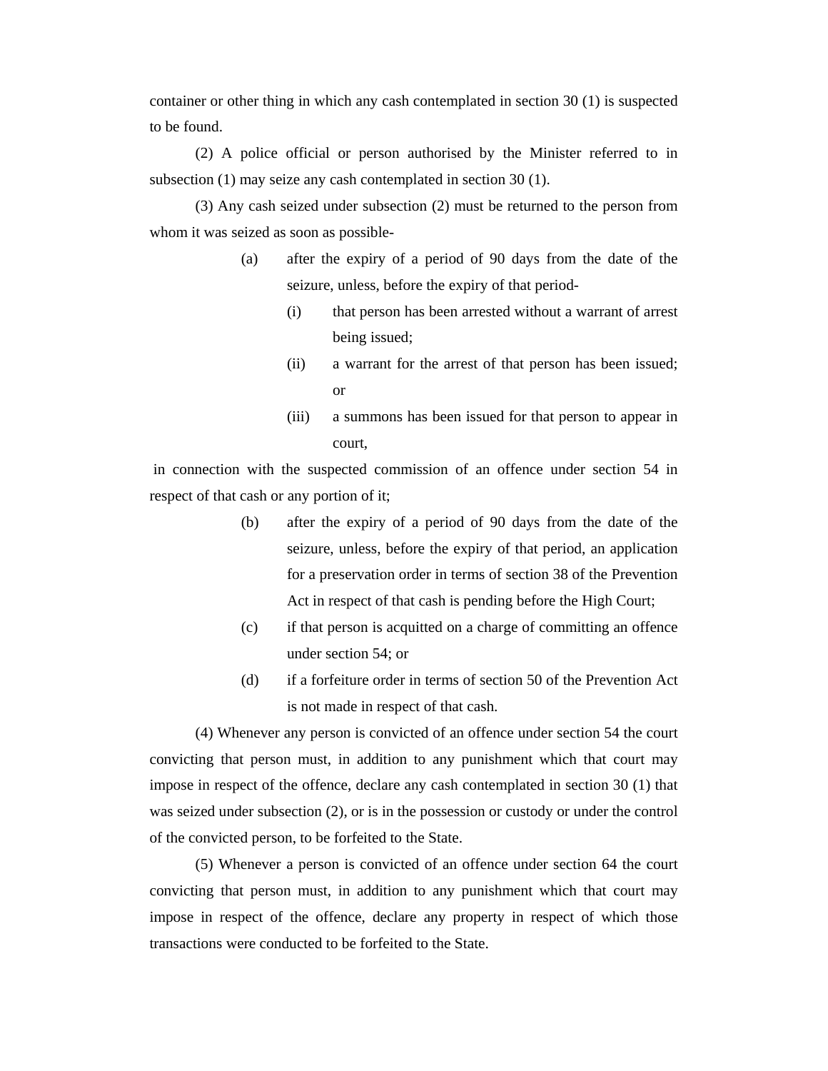container or other thing in which any cash contemplated in section 30 (1) is suspected to be found.

 (2) A police official or person authorised by the Minister referred to in subsection (1) may seize any cash contemplated in section 30 (1).

 (3) Any cash seized under subsection (2) must be returned to the person from whom it was seized as soon as possible-

- (a) after the expiry of a period of 90 days from the date of the seizure, unless, before the expiry of that period-
	- (i) that person has been arrested without a warrant of arrest being issued;
	- (ii) a warrant for the arrest of that person has been issued; or
	- (iii) a summons has been issued for that person to appear in court,

 in connection with the suspected commission of an offence under section 54 in respect of that cash or any portion of it;

- (b) after the expiry of a period of 90 days from the date of the seizure, unless, before the expiry of that period, an application for a preservation order in terms of section 38 of the Prevention Act in respect of that cash is pending before the High Court;
- (c) if that person is acquitted on a charge of committing an offence under section 54; or
- (d) if a forfeiture order in terms of section 50 of the Prevention Act is not made in respect of that cash.

 (4) Whenever any person is convicted of an offence under section 54 the court convicting that person must, in addition to any punishment which that court may impose in respect of the offence, declare any cash contemplated in section 30 (1) that was seized under subsection (2), or is in the possession or custody or under the control of the convicted person, to be forfeited to the State.

 (5) Whenever a person is convicted of an offence under section 64 the court convicting that person must, in addition to any punishment which that court may impose in respect of the offence, declare any property in respect of which those transactions were conducted to be forfeited to the State.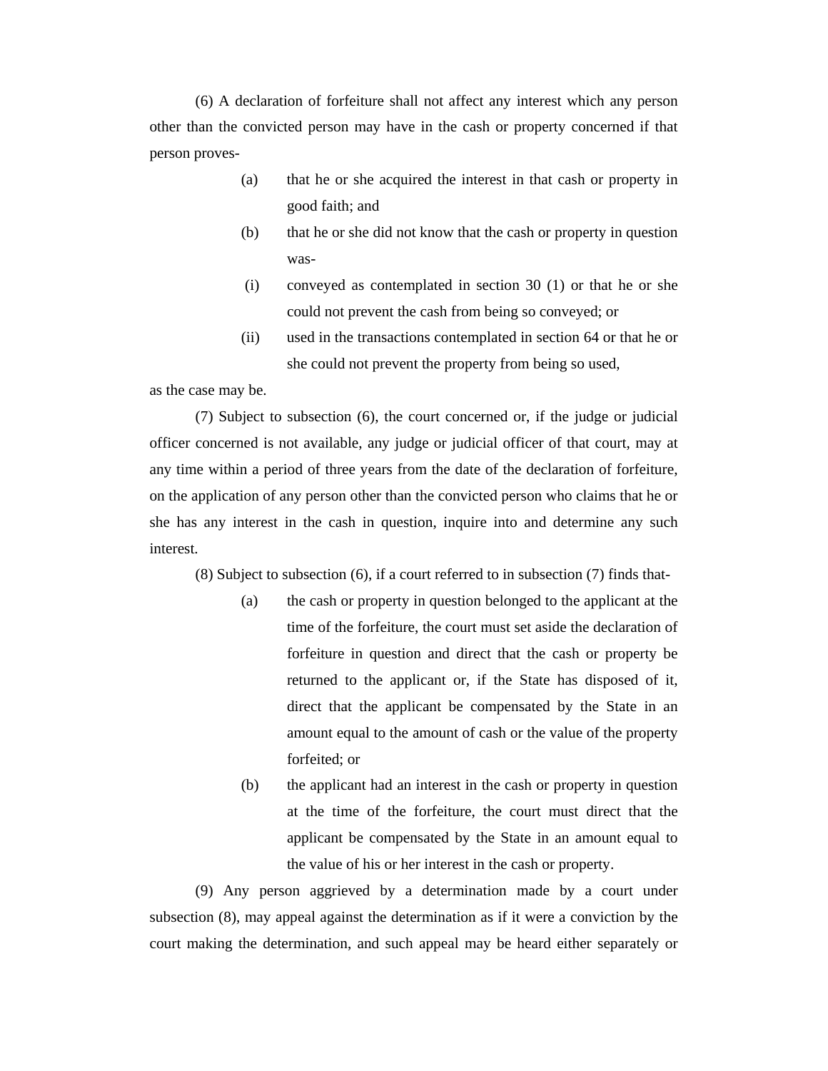(6) A declaration of forfeiture shall not affect any interest which any person other than the convicted person may have in the cash or property concerned if that person proves-

- (a) that he or she acquired the interest in that cash or property in good faith; and
- (b) that he or she did not know that the cash or property in question was-
- (i) conveyed as contemplated in section 30 (1) or that he or she could not prevent the cash from being so conveyed; or
- (ii) used in the transactions contemplated in section 64 or that he or she could not prevent the property from being so used,

as the case may be.

 (7) Subject to subsection (6), the court concerned or, if the judge or judicial officer concerned is not available, any judge or judicial officer of that court, may at any time within a period of three years from the date of the declaration of forfeiture, on the application of any person other than the convicted person who claims that he or she has any interest in the cash in question, inquire into and determine any such interest.

(8) Subject to subsection (6), if a court referred to in subsection (7) finds that-

- (a) the cash or property in question belonged to the applicant at the time of the forfeiture, the court must set aside the declaration of forfeiture in question and direct that the cash or property be returned to the applicant or, if the State has disposed of it, direct that the applicant be compensated by the State in an amount equal to the amount of cash or the value of the property forfeited; or
- (b) the applicant had an interest in the cash or property in question at the time of the forfeiture, the court must direct that the applicant be compensated by the State in an amount equal to the value of his or her interest in the cash or property.

 (9) Any person aggrieved by a determination made by a court under subsection (8), may appeal against the determination as if it were a conviction by the court making the determination, and such appeal may be heard either separately or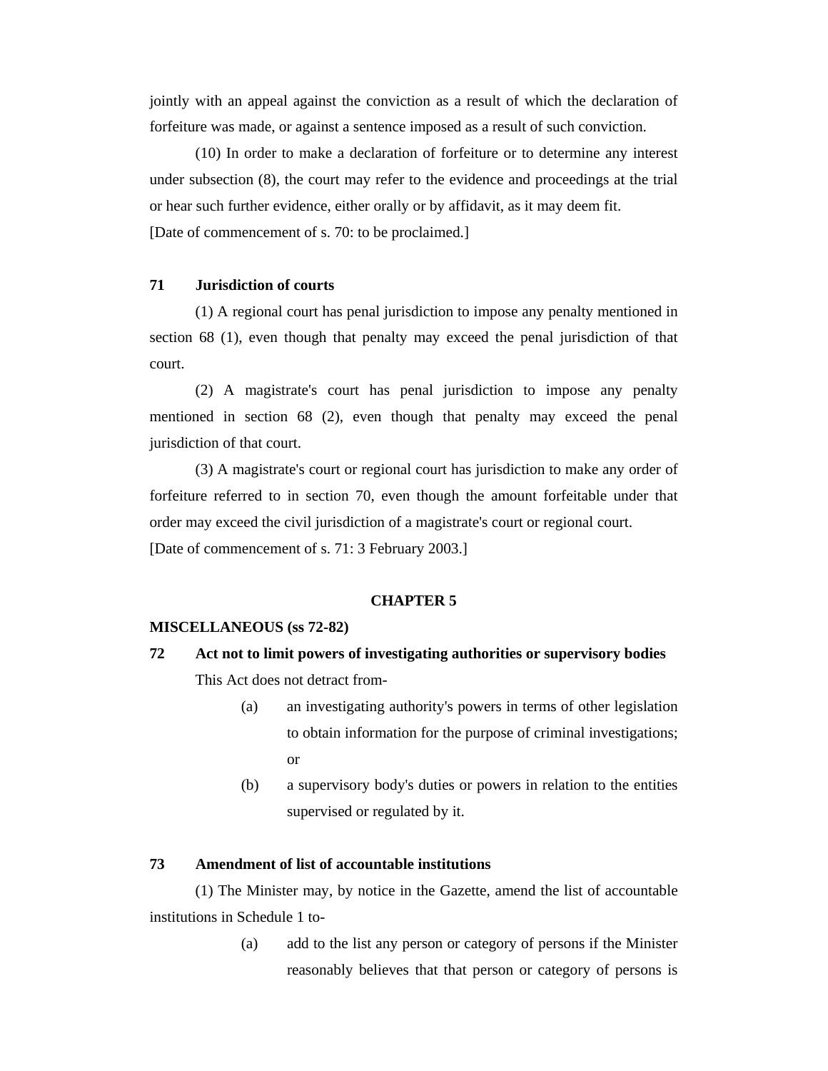jointly with an appeal against the conviction as a result of which the declaration of forfeiture was made, or against a sentence imposed as a result of such conviction.

 (10) In order to make a declaration of forfeiture or to determine any interest under subsection (8), the court may refer to the evidence and proceedings at the trial or hear such further evidence, either orally or by affidavit, as it may deem fit. [Date of commencement of s. 70: to be proclaimed.]

# **71 Jurisdiction of courts**

 (1) A regional court has penal jurisdiction to impose any penalty mentioned in section 68 (1), even though that penalty may exceed the penal jurisdiction of that court.

 (2) A magistrate's court has penal jurisdiction to impose any penalty mentioned in section 68 (2), even though that penalty may exceed the penal jurisdiction of that court.

 (3) A magistrate's court or regional court has jurisdiction to make any order of forfeiture referred to in section 70, even though the amount forfeitable under that order may exceed the civil jurisdiction of a magistrate's court or regional court.

[Date of commencement of s. 71: 3 February 2003.]

#### **CHAPTER 5**

#### **MISCELLANEOUS (ss 72-82)**

- **72 Act not to limit powers of investigating authorities or supervisory bodies**  This Act does not detract from-
	- (a) an investigating authority's powers in terms of other legislation to obtain information for the purpose of criminal investigations; or
	- (b) a supervisory body's duties or powers in relation to the entities supervised or regulated by it.

### **73 Amendment of list of accountable institutions**

 (1) The Minister may, by notice in the Gazette, amend the list of accountable institutions in Schedule 1 to-

> (a) add to the list any person or category of persons if the Minister reasonably believes that that person or category of persons is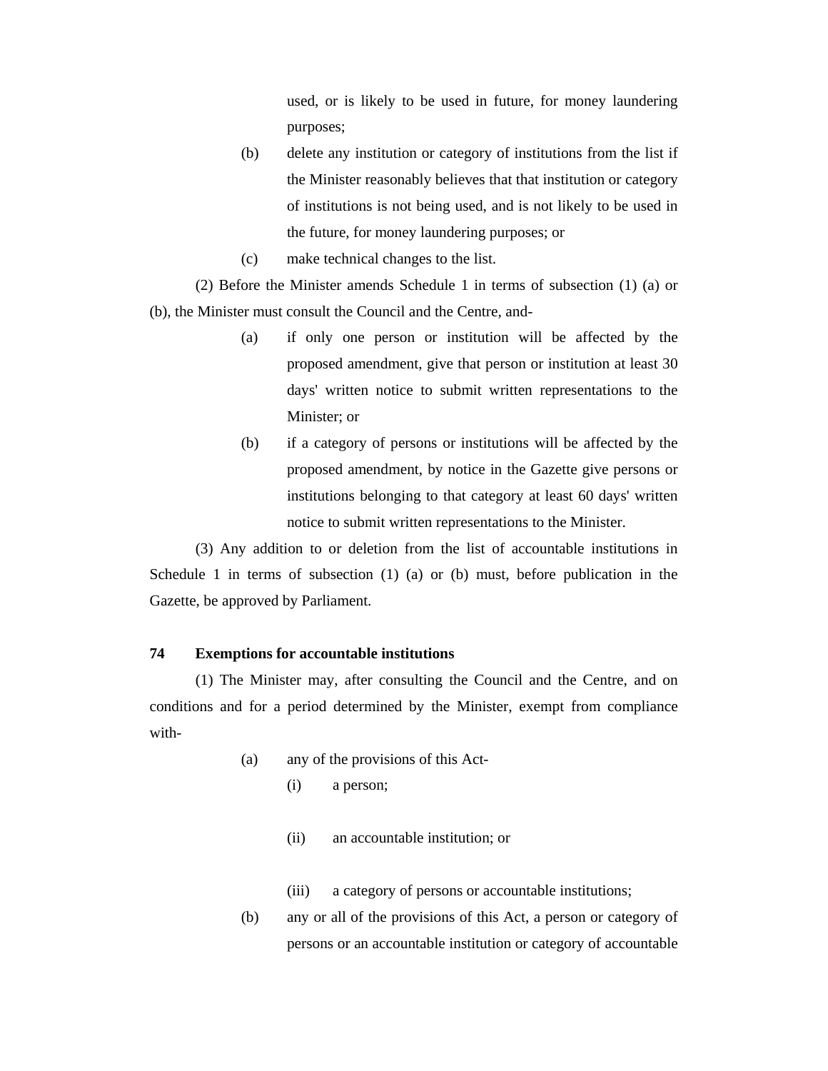used, or is likely to be used in future, for money laundering purposes;

- (b) delete any institution or category of institutions from the list if the Minister reasonably believes that that institution or category of institutions is not being used, and is not likely to be used in the future, for money laundering purposes; or
- (c) make technical changes to the list.

 (2) Before the Minister amends Schedule 1 in terms of subsection (1) (a) or (b), the Minister must consult the Council and the Centre, and-

- (a) if only one person or institution will be affected by the proposed amendment, give that person or institution at least 30 days' written notice to submit written representations to the Minister; or
- (b) if a category of persons or institutions will be affected by the proposed amendment, by notice in the Gazette give persons or institutions belonging to that category at least 60 days' written notice to submit written representations to the Minister.

 (3) Any addition to or deletion from the list of accountable institutions in Schedule 1 in terms of subsection (1) (a) or (b) must, before publication in the Gazette, be approved by Parliament.

## **74 Exemptions for accountable institutions**

 (1) The Minister may, after consulting the Council and the Centre, and on conditions and for a period determined by the Minister, exempt from compliance with-

- (a) any of the provisions of this Act-
	- (i) a person;
	- (ii) an accountable institution; or
	- (iii) a category of persons or accountable institutions;
- (b) any or all of the provisions of this Act, a person or category of persons or an accountable institution or category of accountable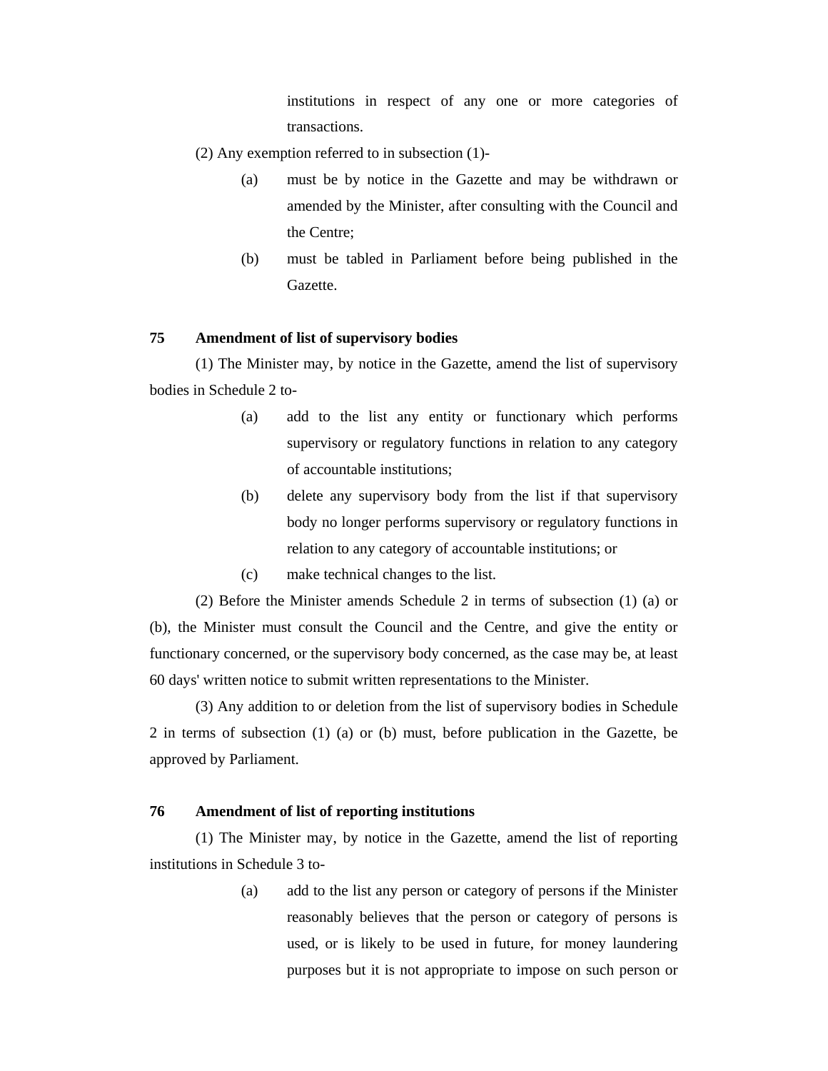institutions in respect of any one or more categories of transactions.

- (2) Any exemption referred to in subsection (1)-
	- (a) must be by notice in the Gazette and may be withdrawn or amended by the Minister, after consulting with the Council and the Centre;
	- (b) must be tabled in Parliament before being published in the Gazette.

### **75 Amendment of list of supervisory bodies**

 (1) The Minister may, by notice in the Gazette, amend the list of supervisory bodies in Schedule 2 to-

- (a) add to the list any entity or functionary which performs supervisory or regulatory functions in relation to any category of accountable institutions;
- (b) delete any supervisory body from the list if that supervisory body no longer performs supervisory or regulatory functions in relation to any category of accountable institutions; or
- (c) make technical changes to the list.

 (2) Before the Minister amends Schedule 2 in terms of subsection (1) (a) or (b), the Minister must consult the Council and the Centre, and give the entity or functionary concerned, or the supervisory body concerned, as the case may be, at least 60 days' written notice to submit written representations to the Minister.

 (3) Any addition to or deletion from the list of supervisory bodies in Schedule 2 in terms of subsection (1) (a) or (b) must, before publication in the Gazette, be approved by Parliament.

### **76 Amendment of list of reporting institutions**

 (1) The Minister may, by notice in the Gazette, amend the list of reporting institutions in Schedule 3 to-

> (a) add to the list any person or category of persons if the Minister reasonably believes that the person or category of persons is used, or is likely to be used in future, for money laundering purposes but it is not appropriate to impose on such person or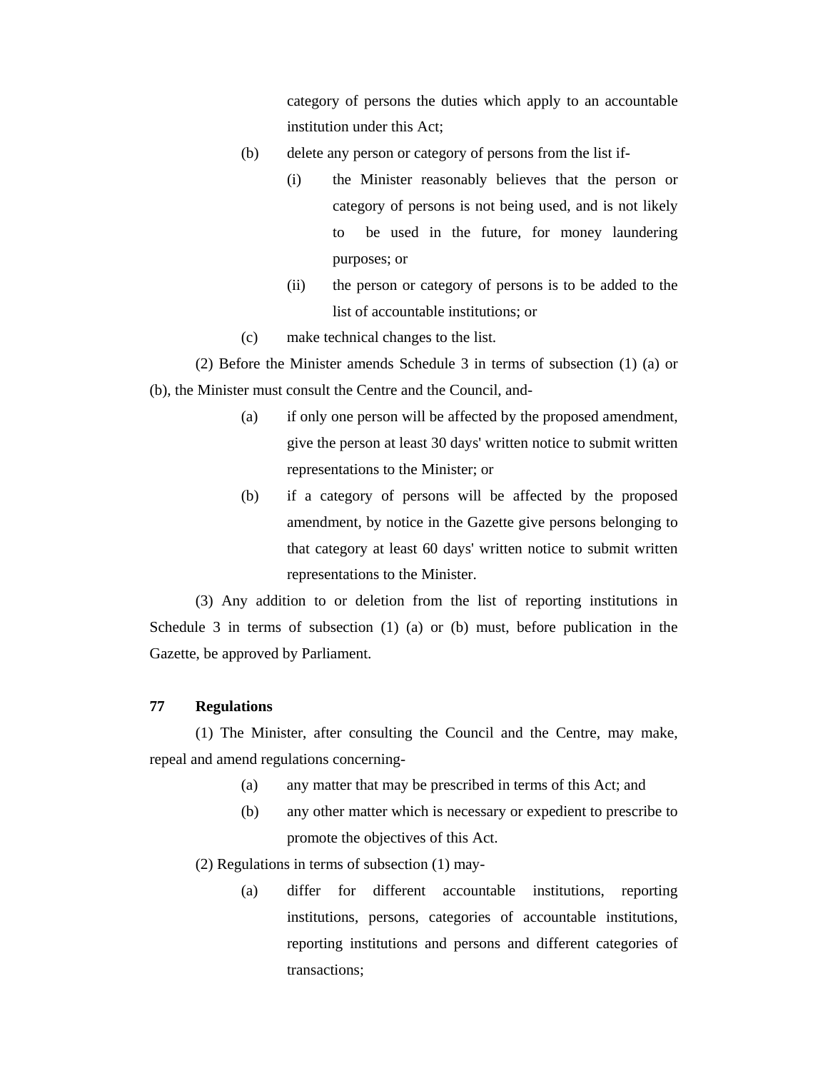category of persons the duties which apply to an accountable institution under this Act;

- (b) delete any person or category of persons from the list if-
	- (i) the Minister reasonably believes that the person or category of persons is not being used, and is not likely to be used in the future, for money laundering purposes; or
	- (ii) the person or category of persons is to be added to the list of accountable institutions; or
- (c) make technical changes to the list.

 (2) Before the Minister amends Schedule 3 in terms of subsection (1) (a) or (b), the Minister must consult the Centre and the Council, and-

- (a) if only one person will be affected by the proposed amendment, give the person at least 30 days' written notice to submit written representations to the Minister; or
- (b) if a category of persons will be affected by the proposed amendment, by notice in the Gazette give persons belonging to that category at least 60 days' written notice to submit written representations to the Minister.

 (3) Any addition to or deletion from the list of reporting institutions in Schedule 3 in terms of subsection (1) (a) or (b) must, before publication in the Gazette, be approved by Parliament.

#### **77 Regulations**

 (1) The Minister, after consulting the Council and the Centre, may make, repeal and amend regulations concerning-

- (a) any matter that may be prescribed in terms of this Act; and
- (b) any other matter which is necessary or expedient to prescribe to promote the objectives of this Act.

(2) Regulations in terms of subsection (1) may-

(a) differ for different accountable institutions, reporting institutions, persons, categories of accountable institutions, reporting institutions and persons and different categories of transactions;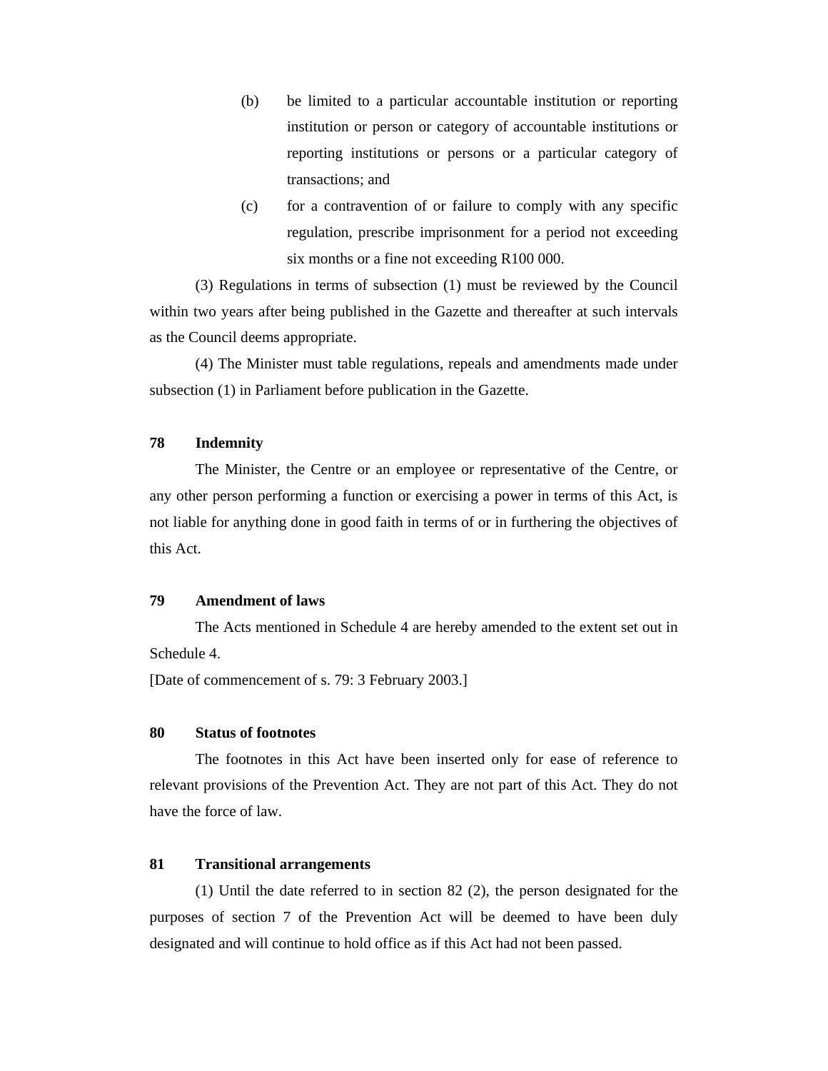- (b) be limited to a particular accountable institution or reporting institution or person or category of accountable institutions or reporting institutions or persons or a particular category of transactions; and
- (c) for a contravention of or failure to comply with any specific regulation, prescribe imprisonment for a period not exceeding six months or a fine not exceeding R100 000.

 (3) Regulations in terms of subsection (1) must be reviewed by the Council within two years after being published in the Gazette and thereafter at such intervals as the Council deems appropriate.

 (4) The Minister must table regulations, repeals and amendments made under subsection (1) in Parliament before publication in the Gazette.

### **78 Indemnity**

 The Minister, the Centre or an employee or representative of the Centre, or any other person performing a function or exercising a power in terms of this Act, is not liable for anything done in good faith in terms of or in furthering the objectives of this Act.

#### **79 Amendment of laws**

 The Acts mentioned in Schedule 4 are hereby amended to the extent set out in Schedule 4.

[Date of commencement of s. 79: 3 February 2003.]

#### **80 Status of footnotes**

 The footnotes in this Act have been inserted only for ease of reference to relevant provisions of the Prevention Act. They are not part of this Act. They do not have the force of law.

### **81 Transitional arrangements**

 (1) Until the date referred to in section 82 (2), the person designated for the purposes of section 7 of the Prevention Act will be deemed to have been duly designated and will continue to hold office as if this Act had not been passed.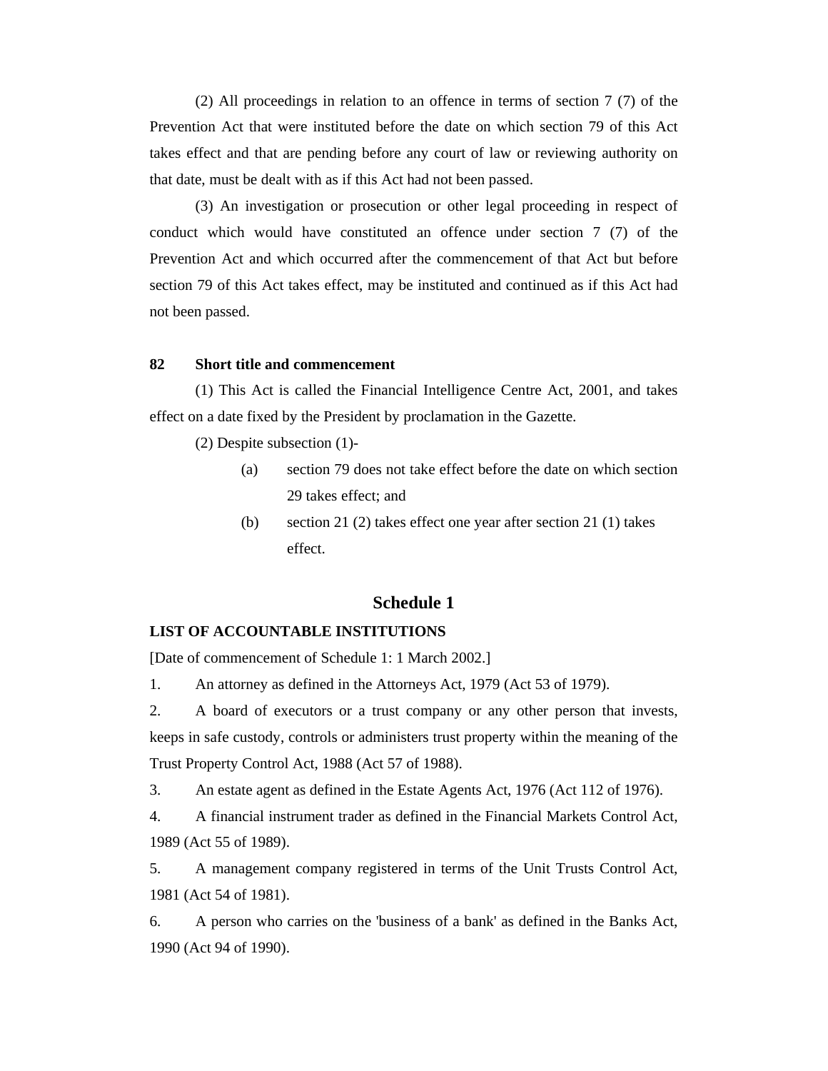(2) All proceedings in relation to an offence in terms of section 7 (7) of the Prevention Act that were instituted before the date on which section 79 of this Act takes effect and that are pending before any court of law or reviewing authority on that date, must be dealt with as if this Act had not been passed.

 (3) An investigation or prosecution or other legal proceeding in respect of conduct which would have constituted an offence under section 7 (7) of the Prevention Act and which occurred after the commencement of that Act but before section 79 of this Act takes effect, may be instituted and continued as if this Act had not been passed.

### **82 Short title and commencement**

 (1) This Act is called the Financial Intelligence Centre Act, 2001, and takes effect on a date fixed by the President by proclamation in the Gazette.

(2) Despite subsection (1)-

- (a) section 79 does not take effect before the date on which section 29 takes effect; and
- (b) section 21 (2) takes effect one year after section 21 (1) takes effect.

# **Schedule 1**

### **LIST OF ACCOUNTABLE INSTITUTIONS**

[Date of commencement of Schedule 1: 1 March 2002.]

1. An attorney as defined in the Attorneys Act, 1979 (Act 53 of 1979).

2. A board of executors or a trust company or any other person that invests, keeps in safe custody, controls or administers trust property within the meaning of the Trust Property Control Act, 1988 (Act 57 of 1988).

3. An estate agent as defined in the Estate Agents Act, 1976 (Act 112 of 1976).

4. A financial instrument trader as defined in the Financial Markets Control Act, 1989 (Act 55 of 1989).

5. A management company registered in terms of the Unit Trusts Control Act, 1981 (Act 54 of 1981).

6. A person who carries on the 'business of a bank' as defined in the Banks Act, 1990 (Act 94 of 1990).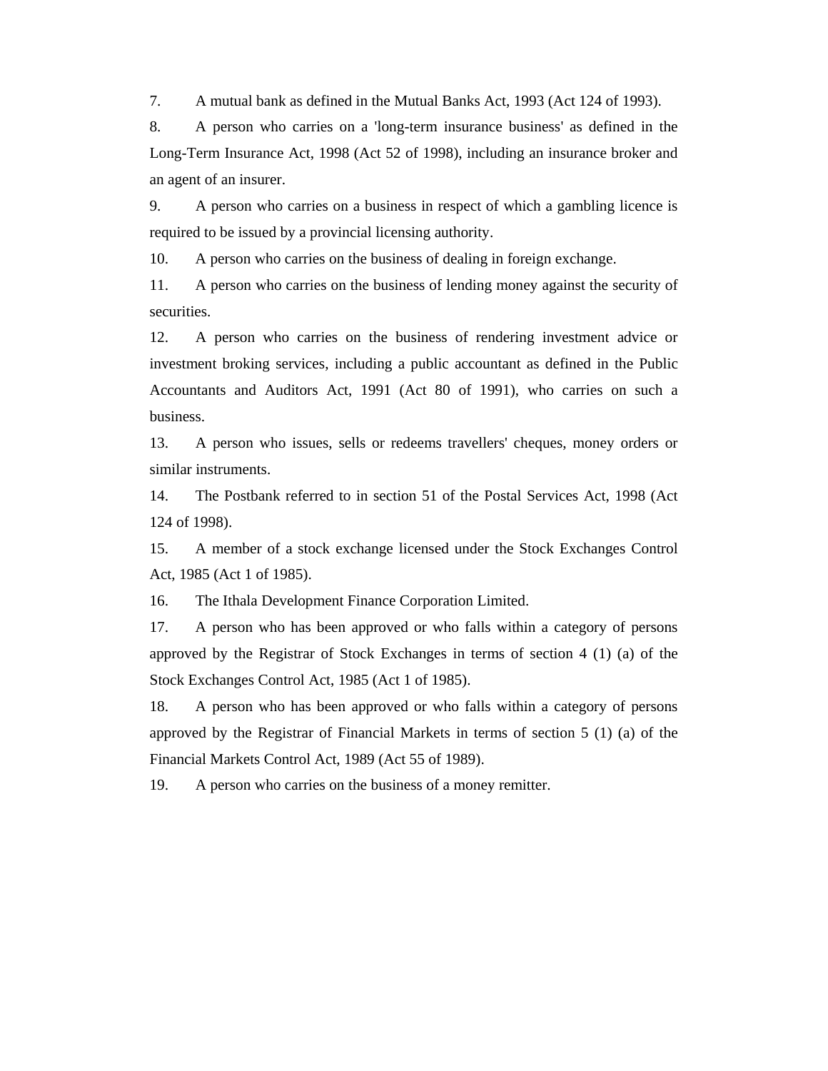7. A mutual bank as defined in the Mutual Banks Act, 1993 (Act 124 of 1993).

8. A person who carries on a 'long-term insurance business' as defined in the Long-Term Insurance Act, 1998 (Act 52 of 1998), including an insurance broker and an agent of an insurer.

9. A person who carries on a business in respect of which a gambling licence is required to be issued by a provincial licensing authority.

10. A person who carries on the business of dealing in foreign exchange.

11. A person who carries on the business of lending money against the security of securities.

12. A person who carries on the business of rendering investment advice or investment broking services, including a public accountant as defined in the Public Accountants and Auditors Act, 1991 (Act 80 of 1991), who carries on such a business.

13. A person who issues, sells or redeems travellers' cheques, money orders or similar instruments.

14. The Postbank referred to in section 51 of the Postal Services Act, 1998 (Act 124 of 1998).

15. A member of a stock exchange licensed under the Stock Exchanges Control Act, 1985 (Act 1 of 1985).

16. The Ithala Development Finance Corporation Limited.

17. A person who has been approved or who falls within a category of persons approved by the Registrar of Stock Exchanges in terms of section 4 (1) (a) of the Stock Exchanges Control Act, 1985 (Act 1 of 1985).

18. A person who has been approved or who falls within a category of persons approved by the Registrar of Financial Markets in terms of section 5 (1) (a) of the Financial Markets Control Act, 1989 (Act 55 of 1989).

19. A person who carries on the business of a money remitter.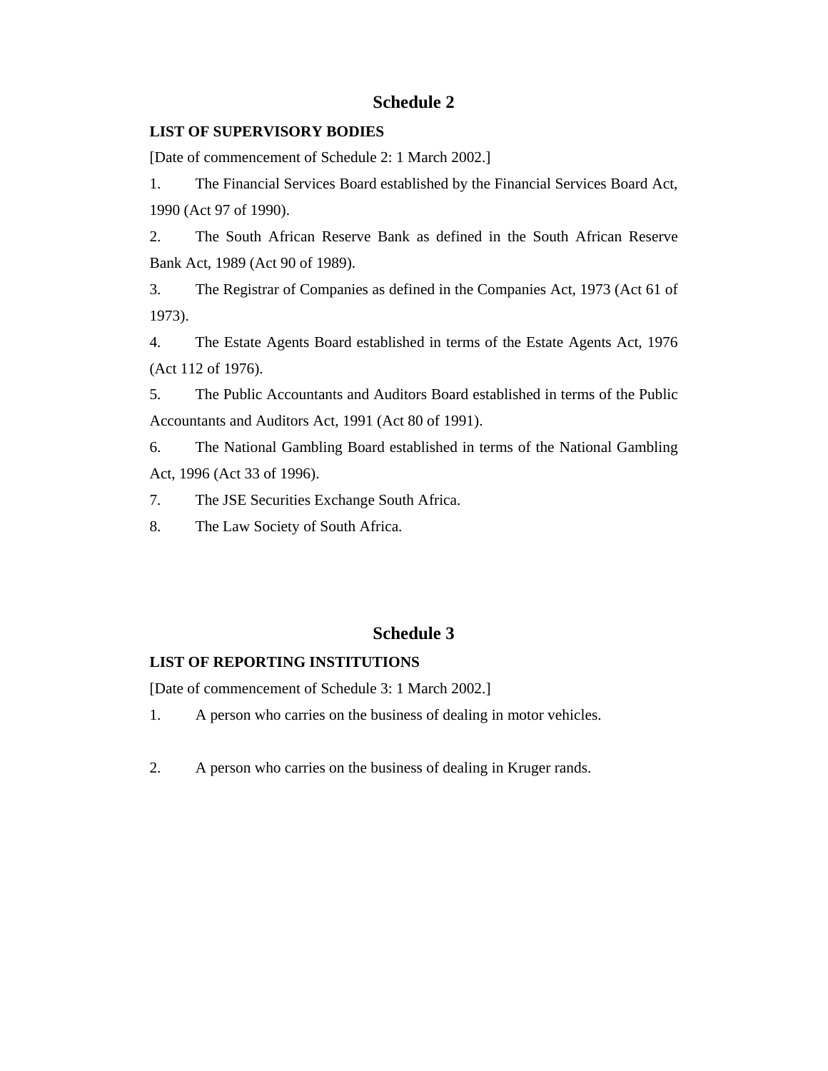# **Schedule 2**

# **LIST OF SUPERVISORY BODIES**

[Date of commencement of Schedule 2: 1 March 2002.]

1. The Financial Services Board established by the Financial Services Board Act, 1990 (Act 97 of 1990).

2. The South African Reserve Bank as defined in the South African Reserve Bank Act, 1989 (Act 90 of 1989).

3. The Registrar of Companies as defined in the Companies Act, 1973 (Act 61 of 1973).

4. The Estate Agents Board established in terms of the Estate Agents Act, 1976 (Act 112 of 1976).

5. The Public Accountants and Auditors Board established in terms of the Public Accountants and Auditors Act, 1991 (Act 80 of 1991).

6. The National Gambling Board established in terms of the National Gambling Act, 1996 (Act 33 of 1996).

7. The JSE Securities Exchange South Africa.

8. The Law Society of South Africa.

# **Schedule 3**

# **LIST OF REPORTING INSTITUTIONS**

[Date of commencement of Schedule 3: 1 March 2002.]

- 1. A person who carries on the business of dealing in motor vehicles.
- 2. A person who carries on the business of dealing in Kruger rands.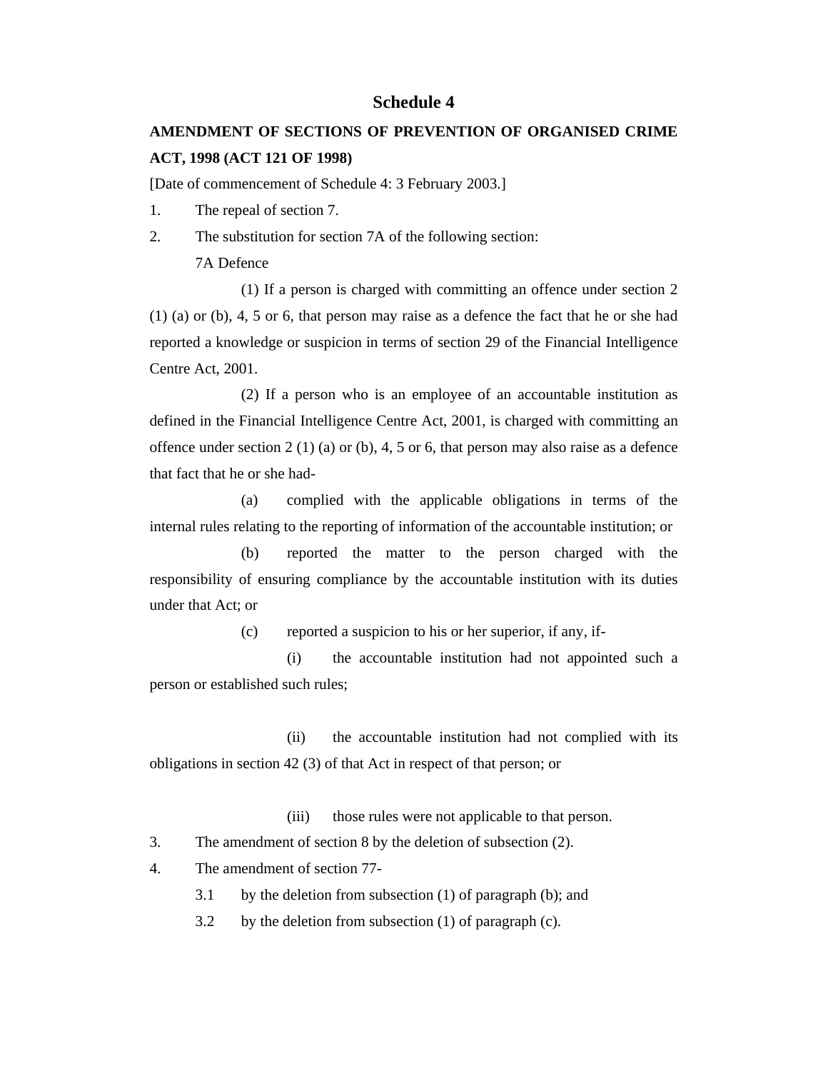# **Schedule 4**

# **AMENDMENT OF SECTIONS OF PREVENTION OF ORGANISED CRIME ACT, 1998 (ACT 121 OF 1998)**

[Date of commencement of Schedule 4: 3 February 2003.]

- 1. The repeal of section 7.
- 2. The substitution for section 7A of the following section: 7A Defence

 (1) If a person is charged with committing an offence under section 2 (1) (a) or (b), 4, 5 or 6, that person may raise as a defence the fact that he or she had reported a knowledge or suspicion in terms of section 29 of the Financial Intelligence Centre Act, 2001.

 (2) If a person who is an employee of an accountable institution as defined in the Financial Intelligence Centre Act, 2001, is charged with committing an offence under section 2 (1) (a) or (b), 4, 5 or 6, that person may also raise as a defence that fact that he or she had-

 (a) complied with the applicable obligations in terms of the internal rules relating to the reporting of information of the accountable institution; or

 (b) reported the matter to the person charged with the responsibility of ensuring compliance by the accountable institution with its duties under that Act; or

(c) reported a suspicion to his or her superior, if any, if-

 (i) the accountable institution had not appointed such a person or established such rules;

 (ii) the accountable institution had not complied with its obligations in section 42 (3) of that Act in respect of that person; or

(iii) those rules were not applicable to that person.

3. The amendment of section 8 by the deletion of subsection (2).

4. The amendment of section 77-

3.1 by the deletion from subsection (1) of paragraph (b); and

3.2 by the deletion from subsection (1) of paragraph (c).